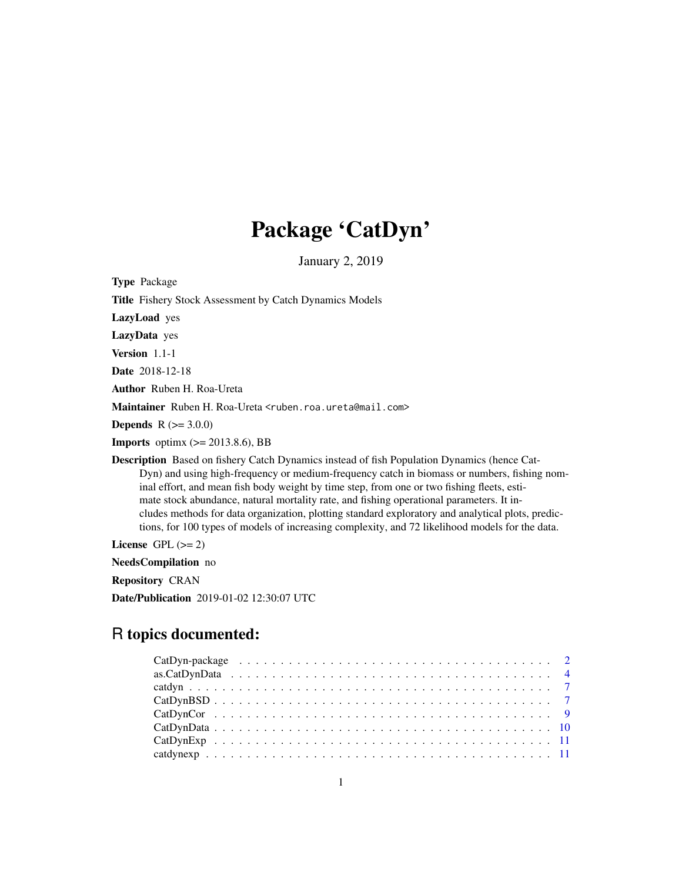# Package 'CatDyn'

January 2, 2019

Type Package Title Fishery Stock Assessment by Catch Dynamics Models LazyLoad yes LazyData yes Version 1.1-1 Date 2018-12-18 Author Ruben H. Roa-Ureta Maintainer Ruben H. Roa-Ureta <ruben.roa.ureta@mail.com> **Depends** R  $(>= 3.0.0)$ **Imports** optimx  $(>= 2013.8.6)$ , BB Description Based on fishery Catch Dynamics instead of fish Population Dynamics (hence Cat-Dyn) and using high-frequency or medium-frequency catch in biomass or numbers, fishing nominal effort, and mean fish body weight by time step, from one or two fishing fleets, estimate stock abundance, natural mortality rate, and fishing operational parameters. It includes methods for data organization, plotting standard exploratory and analytical plots, predictions, for 100 types of models of increasing complexity, and 72 likelihood models for the data.

License GPL  $(>= 2)$ 

NeedsCompilation no

Repository CRAN

Date/Publication 2019-01-02 12:30:07 UTC

# R topics documented: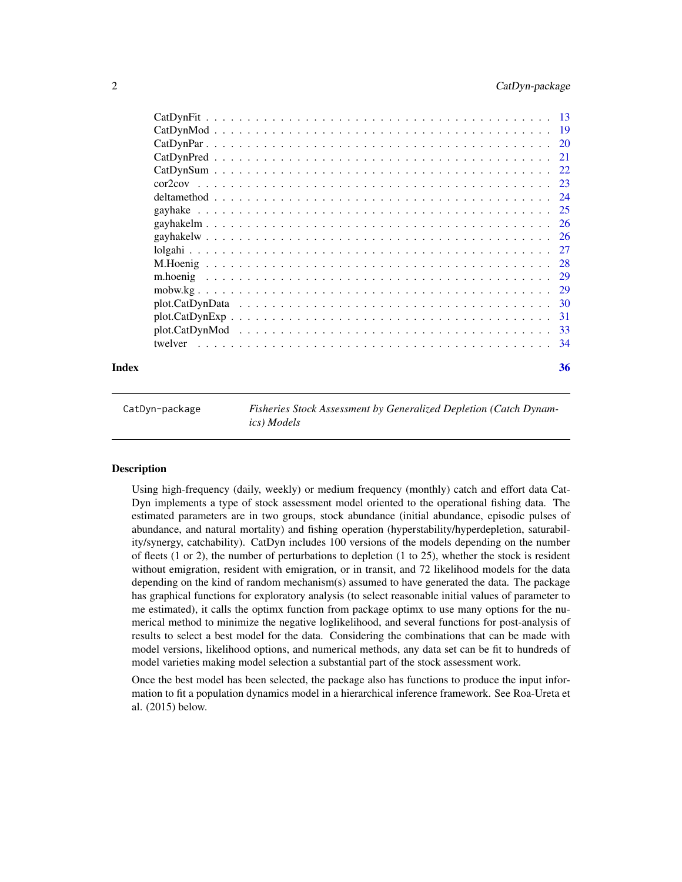<span id="page-1-0"></span>

|       | $plot.CatDynExp$ |    |
|-------|------------------|----|
|       |                  |    |
|       |                  |    |
| Index |                  | 36 |

CatDyn-package *Fisheries Stock Assessment by Generalized Depletion (Catch Dynamics) Models*

# Description

Using high-frequency (daily, weekly) or medium frequency (monthly) catch and effort data Cat-Dyn implements a type of stock assessment model oriented to the operational fishing data. The estimated parameters are in two groups, stock abundance (initial abundance, episodic pulses of abundance, and natural mortality) and fishing operation (hyperstability/hyperdepletion, saturability/synergy, catchability). CatDyn includes 100 versions of the models depending on the number of fleets (1 or 2), the number of perturbations to depletion (1 to 25), whether the stock is resident without emigration, resident with emigration, or in transit, and 72 likelihood models for the data depending on the kind of random mechanism(s) assumed to have generated the data. The package has graphical functions for exploratory analysis (to select reasonable initial values of parameter to me estimated), it calls the optimx function from package optimx to use many options for the numerical method to minimize the negative loglikelihood, and several functions for post-analysis of results to select a best model for the data. Considering the combinations that can be made with model versions, likelihood options, and numerical methods, any data set can be fit to hundreds of model varieties making model selection a substantial part of the stock assessment work.

Once the best model has been selected, the package also has functions to produce the input information to fit a population dynamics model in a hierarchical inference framework. See Roa-Ureta et al. (2015) below.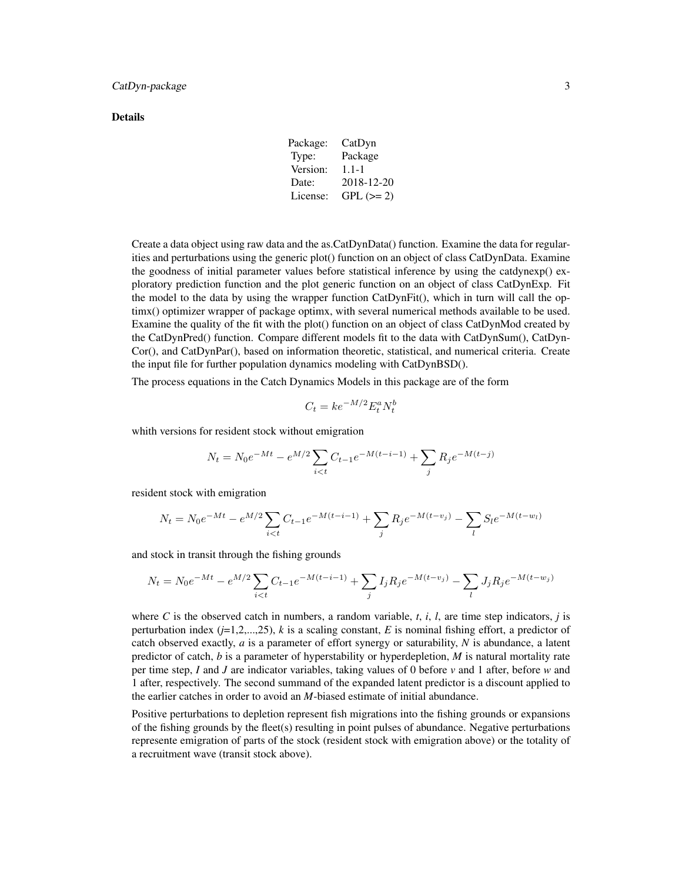#### Details

Package: CatDyn Type: Package Version: 1.1-1 Date: 2018-12-20 License: GPL  $(>= 2)$ 

Create a data object using raw data and the as.CatDynData() function. Examine the data for regularities and perturbations using the generic plot() function on an object of class CatDynData. Examine the goodness of initial parameter values before statistical inference by using the catdynexp() exploratory prediction function and the plot generic function on an object of class CatDynExp. Fit the model to the data by using the wrapper function CatDynFit(), which in turn will call the optimx() optimizer wrapper of package optimx, with several numerical methods available to be used. Examine the quality of the fit with the plot() function on an object of class CatDynMod created by the CatDynPred() function. Compare different models fit to the data with CatDynSum(), CatDyn-Cor(), and CatDynPar(), based on information theoretic, statistical, and numerical criteria. Create the input file for further population dynamics modeling with CatDynBSD().

The process equations in the Catch Dynamics Models in this package are of the form

$$
C_t = k e^{-M/2} E_t^a N_t^b
$$

whith versions for resident stock without emigration

$$
N_t = N_0 e^{-Mt} - e^{M/2} \sum_{i < t} C_{t-1} e^{-M(t-i-1)} + \sum_j R_j e^{-M(t-j)}
$$

resident stock with emigration

$$
N_t = N_0 e^{-Mt} - e^{M/2} \sum_{i < t} C_{t-1} e^{-M(t-i-1)} + \sum_j R_j e^{-M(t-v_j)} - \sum_l S_l e^{-M(t-w_l)}
$$

and stock in transit through the fishing grounds

$$
N_t = N_0 e^{-Mt} - e^{M/2} \sum_{i < t} C_{t-1} e^{-M(t-i-1)} + \sum_j I_j R_j e^{-M(t-v_j)} - \sum_l J_j R_j e^{-M(t-w_j)}
$$

where C is the observed catch in numbers, a random variable,  $t$ ,  $i$ ,  $l$ , are time step indicators,  $j$  is perturbation index  $(j=1,2,...,25)$ , *k* is a scaling constant, *E* is nominal fishing effort, a predictor of catch observed exactly, *a* is a parameter of effort synergy or saturability, *N* is abundance, a latent predictor of catch, *b* is a parameter of hyperstability or hyperdepletion, *M* is natural mortality rate per time step, *I* and *J* are indicator variables, taking values of 0 before *v* and 1 after, before *w* and 1 after, respectively. The second summand of the expanded latent predictor is a discount applied to the earlier catches in order to avoid an *M*-biased estimate of initial abundance.

Positive perturbations to depletion represent fish migrations into the fishing grounds or expansions of the fishing grounds by the fleet(s) resulting in point pulses of abundance. Negative perturbations represente emigration of parts of the stock (resident stock with emigration above) or the totality of a recruitment wave (transit stock above).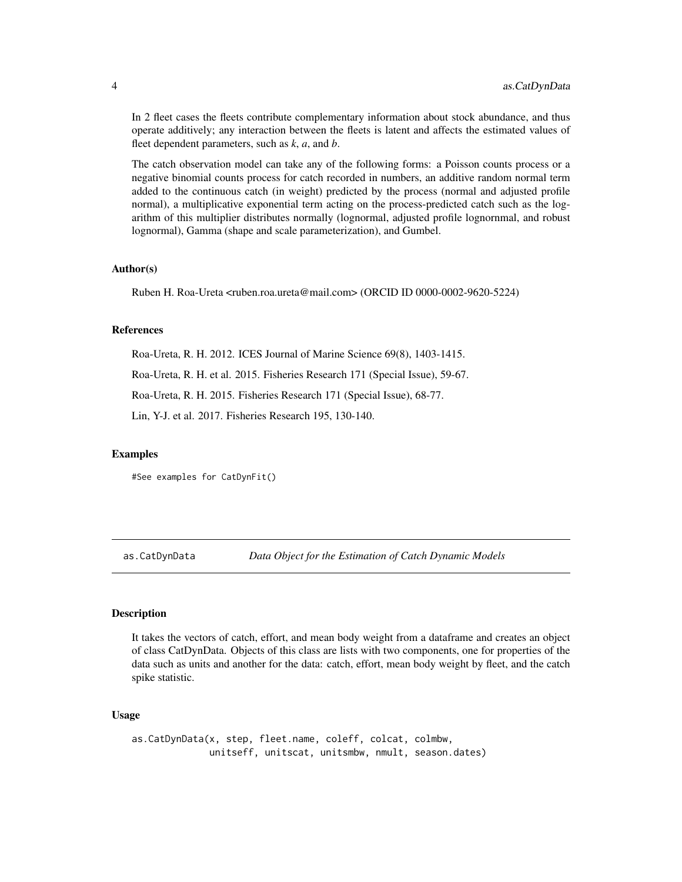<span id="page-3-0"></span>In 2 fleet cases the fleets contribute complementary information about stock abundance, and thus operate additively; any interaction between the fleets is latent and affects the estimated values of fleet dependent parameters, such as *k*, *a*, and *b*.

The catch observation model can take any of the following forms: a Poisson counts process or a negative binomial counts process for catch recorded in numbers, an additive random normal term added to the continuous catch (in weight) predicted by the process (normal and adjusted profile normal), a multiplicative exponential term acting on the process-predicted catch such as the logarithm of this multiplier distributes normally (lognormal, adjusted profile lognornmal, and robust lognormal), Gamma (shape and scale parameterization), and Gumbel.

# Author(s)

Ruben H. Roa-Ureta <ruben.roa.ureta@mail.com> (ORCID ID 0000-0002-9620-5224)

# References

Roa-Ureta, R. H. 2012. ICES Journal of Marine Science 69(8), 1403-1415.

Roa-Ureta, R. H. et al. 2015. Fisheries Research 171 (Special Issue), 59-67.

Roa-Ureta, R. H. 2015. Fisheries Research 171 (Special Issue), 68-77.

Lin, Y-J. et al. 2017. Fisheries Research 195, 130-140.

#### Examples

#See examples for CatDynFit()

as.CatDynData *Data Object for the Estimation of Catch Dynamic Models*

#### **Description**

It takes the vectors of catch, effort, and mean body weight from a dataframe and creates an object of class CatDynData. Objects of this class are lists with two components, one for properties of the data such as units and another for the data: catch, effort, mean body weight by fleet, and the catch spike statistic.

# Usage

as.CatDynData(x, step, fleet.name, coleff, colcat, colmbw, unitseff, unitscat, unitsmbw, nmult, season.dates)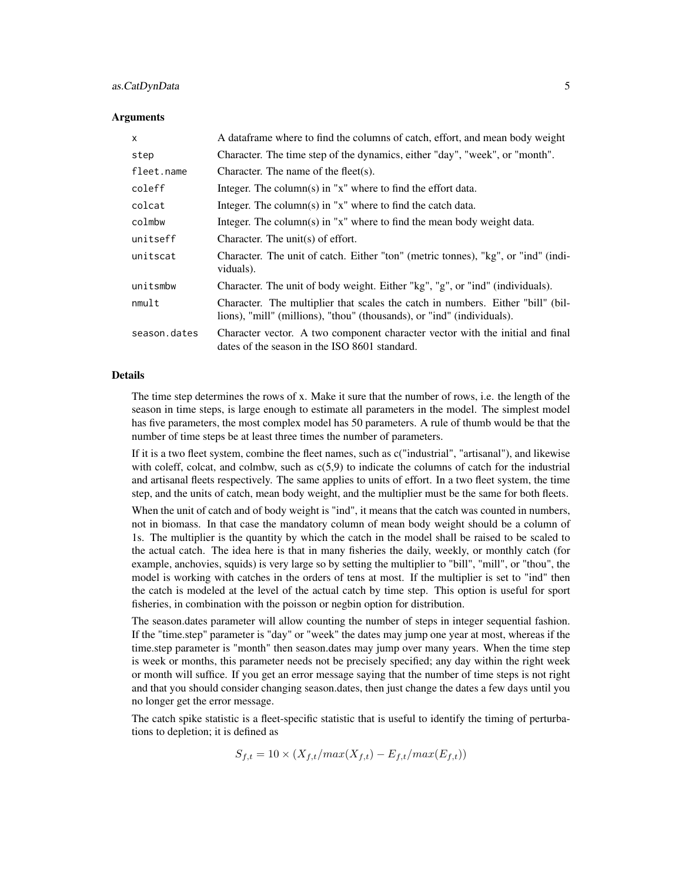# as.CatDynData 5

#### Arguments

| $\times$     | A data frame where to find the columns of catch, effort, and mean body weight                                                                             |
|--------------|-----------------------------------------------------------------------------------------------------------------------------------------------------------|
| step         | Character. The time step of the dynamics, either "day", "week", or "month".                                                                               |
| fleet.name   | Character. The name of the fleet(s).                                                                                                                      |
| coleff       | Integer. The column(s) in " $x$ " where to find the effort data.                                                                                          |
| colcat       | Integer. The column(s) in " $x$ " where to find the catch data.                                                                                           |
| colmbw       | Integer. The column(s) in "x" where to find the mean body weight data.                                                                                    |
| unitseff     | Character. The unit(s) of effort.                                                                                                                         |
| unitscat     | Character. The unit of catch. Either "ton" (metric tonnes), "kg", or "ind" (indi-<br>viduals).                                                            |
| unitsmbw     | Character. The unit of body weight. Either "kg", "g", or "ind" (individuals).                                                                             |
| nmult        | Character. The multiplier that scales the catch in numbers. Either "bill" (bil-<br>lions), "mill" (millions), "thou" (thousands), or "ind" (individuals). |
| season.dates | Character vector. A two component character vector with the initial and final<br>dates of the season in the ISO 8601 standard.                            |

#### Details

The time step determines the rows of x. Make it sure that the number of rows, i.e. the length of the season in time steps, is large enough to estimate all parameters in the model. The simplest model has five parameters, the most complex model has 50 parameters. A rule of thumb would be that the number of time steps be at least three times the number of parameters.

If it is a two fleet system, combine the fleet names, such as c("industrial", "artisanal"), and likewise with coleff, colcat, and colmbw, such as  $c(5.9)$  to indicate the columns of catch for the industrial and artisanal fleets respectively. The same applies to units of effort. In a two fleet system, the time step, and the units of catch, mean body weight, and the multiplier must be the same for both fleets.

When the unit of catch and of body weight is "ind", it means that the catch was counted in numbers, not in biomass. In that case the mandatory column of mean body weight should be a column of 1s. The multiplier is the quantity by which the catch in the model shall be raised to be scaled to the actual catch. The idea here is that in many fisheries the daily, weekly, or monthly catch (for example, anchovies, squids) is very large so by setting the multiplier to "bill", "mill", or "thou", the model is working with catches in the orders of tens at most. If the multiplier is set to "ind" then the catch is modeled at the level of the actual catch by time step. This option is useful for sport fisheries, in combination with the poisson or negbin option for distribution.

The season.dates parameter will allow counting the number of steps in integer sequential fashion. If the "time.step" parameter is "day" or "week" the dates may jump one year at most, whereas if the time.step parameter is "month" then season.dates may jump over many years. When the time step is week or months, this parameter needs not be precisely specified; any day within the right week or month will suffice. If you get an error message saying that the number of time steps is not right and that you should consider changing season.dates, then just change the dates a few days until you no longer get the error message.

The catch spike statistic is a fleet-specific statistic that is useful to identify the timing of perturbations to depletion; it is defined as

$$
S_{f,t} = 10 \times (X_{f,t}/max(X_{f,t}) - E_{f,t}/max(E_{f,t}))
$$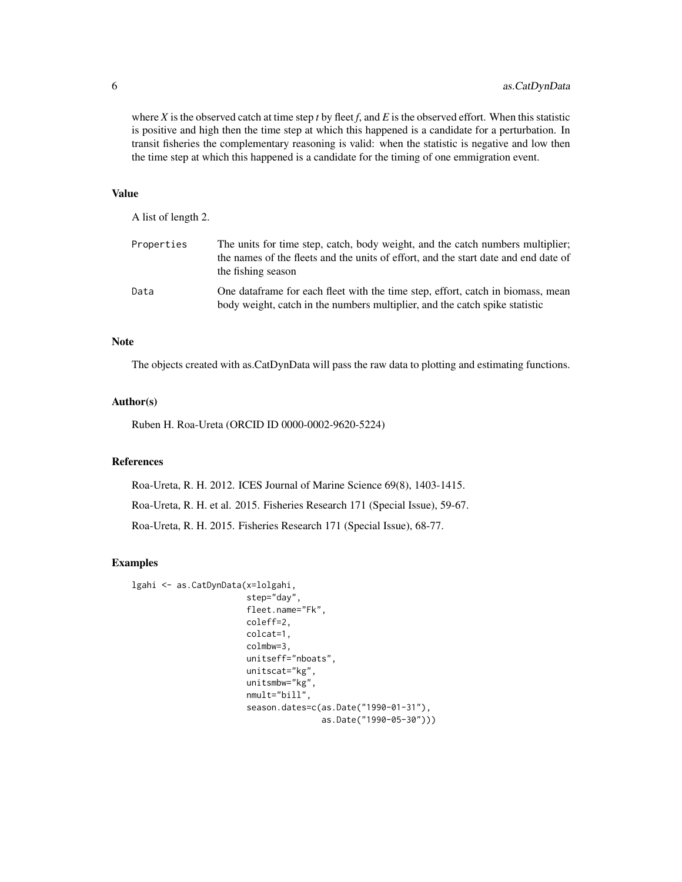where  $X$  is the observed catch at time step  $t$  by fleet  $f$ , and  $E$  is the observed effort. When this statistic is positive and high then the time step at which this happened is a candidate for a perturbation. In transit fisheries the complementary reasoning is valid: when the statistic is negative and low then the time step at which this happened is a candidate for the timing of one emmigration event.

#### Value

A list of length 2.

| Properties | The units for time step, catch, body weight, and the catch numbers multiplier;<br>the names of the fleets and the units of effort, and the start date and end date of<br>the fishing season |
|------------|---------------------------------------------------------------------------------------------------------------------------------------------------------------------------------------------|
| Data       | One data frame for each fleet with the time step, effort, catch in biomass, mean<br>body weight, catch in the numbers multiplier, and the catch spike statistic                             |

#### **Note**

The objects created with as.CatDynData will pass the raw data to plotting and estimating functions.

#### Author(s)

Ruben H. Roa-Ureta (ORCID ID 0000-0002-9620-5224)

#### References

Roa-Ureta, R. H. 2012. ICES Journal of Marine Science 69(8), 1403-1415. Roa-Ureta, R. H. et al. 2015. Fisheries Research 171 (Special Issue), 59-67. Roa-Ureta, R. H. 2015. Fisheries Research 171 (Special Issue), 68-77.

# Examples

```
lgahi <- as.CatDynData(x=lolgahi,
                       step="day",
                       fleet.name="Fk",
                       coleff=2,
                       colcat=1,
                       colmbw=3,
                       unitseff="nboats",
                       unitscat="kg",
                       unitsmbw="kg",
                       nmult="bill",
                       season.dates=c(as.Date("1990-01-31"),
                                       as.Date("1990-05-30")))
```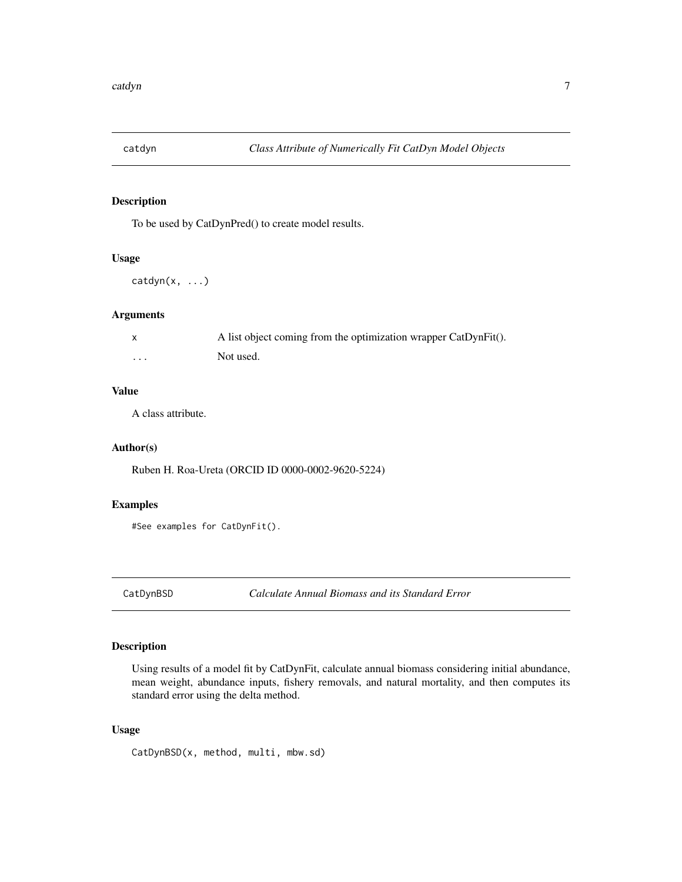<span id="page-6-0"></span>

# Description

To be used by CatDynPred() to create model results.

#### Usage

```
catdyn(x, ...)
```
# Arguments

|          | A list object coming from the optimization wrapper CatDynFit(). |
|----------|-----------------------------------------------------------------|
| $\cdots$ | Not used.                                                       |

#### Value

A class attribute.

# Author(s)

Ruben H. Roa-Ureta (ORCID ID 0000-0002-9620-5224)

# Examples

```
#See examples for CatDynFit().
```
CatDynBSD *Calculate Annual Biomass and its Standard Error*

# Description

Using results of a model fit by CatDynFit, calculate annual biomass considering initial abundance, mean weight, abundance inputs, fishery removals, and natural mortality, and then computes its standard error using the delta method.

# Usage

```
CatDynBSD(x, method, multi, mbw.sd)
```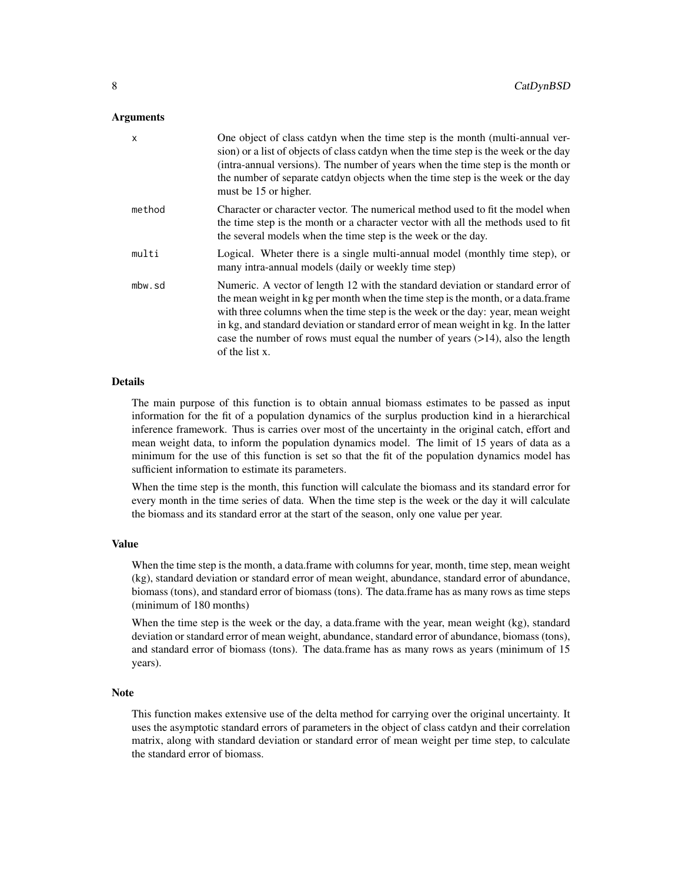#### Arguments

| $\mathsf{x}$ | One object of class catdyn when the time step is the month (multi-annual ver-<br>sion) or a list of objects of class catdyn when the time step is the week or the day<br>(intra-annual versions). The number of years when the time step is the month or<br>the number of separate catdyn objects when the time step is the week or the day<br>must be 15 or higher.                                                                                |
|--------------|-----------------------------------------------------------------------------------------------------------------------------------------------------------------------------------------------------------------------------------------------------------------------------------------------------------------------------------------------------------------------------------------------------------------------------------------------------|
| method       | Character or character vector. The numerical method used to fit the model when<br>the time step is the month or a character vector with all the methods used to fit<br>the several models when the time step is the week or the day.                                                                                                                                                                                                                |
| multi        | Logical. Wheter there is a single multi-annual model (monthly time step), or<br>many intra-annual models (daily or weekly time step)                                                                                                                                                                                                                                                                                                                |
| mbw.sd       | Numeric. A vector of length 12 with the standard deviation or standard error of<br>the mean weight in kg per month when the time step is the month, or a data.frame<br>with three columns when the time step is the week or the day: year, mean weight<br>in kg, and standard deviation or standard error of mean weight in kg. In the latter<br>case the number of rows must equal the number of years $(>14)$ , also the length<br>of the list x. |

#### Details

The main purpose of this function is to obtain annual biomass estimates to be passed as input information for the fit of a population dynamics of the surplus production kind in a hierarchical inference framework. Thus is carries over most of the uncertainty in the original catch, effort and mean weight data, to inform the population dynamics model. The limit of 15 years of data as a minimum for the use of this function is set so that the fit of the population dynamics model has sufficient information to estimate its parameters.

When the time step is the month, this function will calculate the biomass and its standard error for every month in the time series of data. When the time step is the week or the day it will calculate the biomass and its standard error at the start of the season, only one value per year.

# Value

When the time step is the month, a data.frame with columns for year, month, time step, mean weight (kg), standard deviation or standard error of mean weight, abundance, standard error of abundance, biomass (tons), and standard error of biomass (tons). The data.frame has as many rows as time steps (minimum of 180 months)

When the time step is the week or the day, a data.frame with the year, mean weight (kg), standard deviation or standard error of mean weight, abundance, standard error of abundance, biomass (tons), and standard error of biomass (tons). The data.frame has as many rows as years (minimum of 15 years).

#### Note

This function makes extensive use of the delta method for carrying over the original uncertainty. It uses the asymptotic standard errors of parameters in the object of class catdyn and their correlation matrix, along with standard deviation or standard error of mean weight per time step, to calculate the standard error of biomass.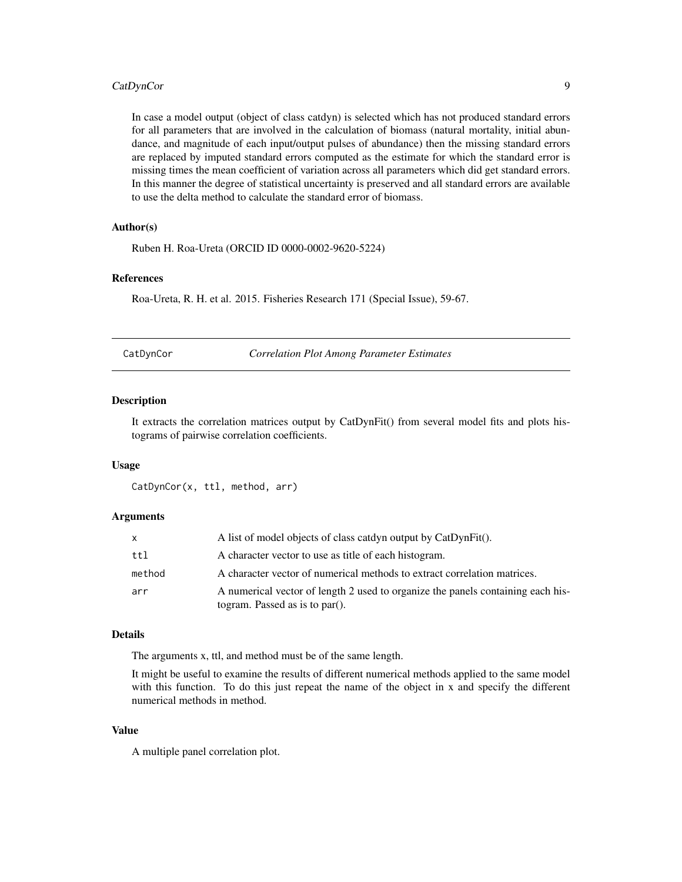# <span id="page-8-0"></span>CatDynCor 9

In case a model output (object of class catdyn) is selected which has not produced standard errors for all parameters that are involved in the calculation of biomass (natural mortality, initial abundance, and magnitude of each input/output pulses of abundance) then the missing standard errors are replaced by imputed standard errors computed as the estimate for which the standard error is missing times the mean coefficient of variation across all parameters which did get standard errors. In this manner the degree of statistical uncertainty is preserved and all standard errors are available to use the delta method to calculate the standard error of biomass.

# Author(s)

Ruben H. Roa-Ureta (ORCID ID 0000-0002-9620-5224)

#### References

Roa-Ureta, R. H. et al. 2015. Fisheries Research 171 (Special Issue), 59-67.

CatDynCor *Correlation Plot Among Parameter Estimates*

#### Description

It extracts the correlation matrices output by CatDynFit() from several model fits and plots histograms of pairwise correlation coefficients.

#### Usage

CatDynCor(x, ttl, method, arr)

#### Arguments

| X      | A list of model objects of class catdyn output by CatDynFit().                                                    |
|--------|-------------------------------------------------------------------------------------------------------------------|
| tt1    | A character vector to use as title of each histogram.                                                             |
| method | A character vector of numerical methods to extract correlation matrices.                                          |
| arr    | A numerical vector of length 2 used to organize the panels containing each his-<br>togram. Passed as is to par(). |

#### Details

The arguments x, ttl, and method must be of the same length.

It might be useful to examine the results of different numerical methods applied to the same model with this function. To do this just repeat the name of the object in x and specify the different numerical methods in method.

# Value

A multiple panel correlation plot.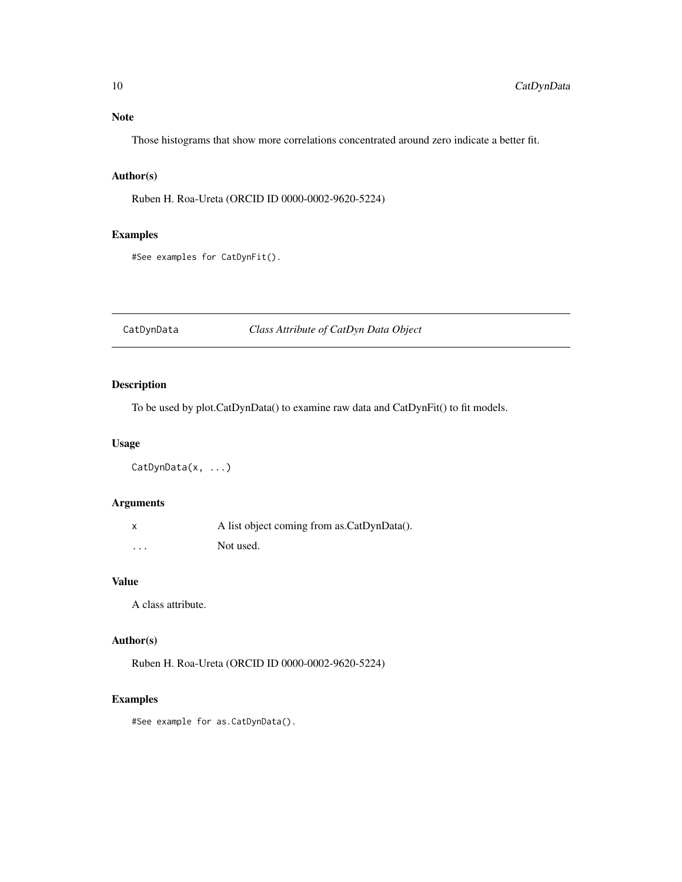# <span id="page-9-0"></span>Note

Those histograms that show more correlations concentrated around zero indicate a better fit.

# Author(s)

Ruben H. Roa-Ureta (ORCID ID 0000-0002-9620-5224)

# Examples

#See examples for CatDynFit().

CatDynData *Class Attribute of CatDyn Data Object*

# Description

To be used by plot.CatDynData() to examine raw data and CatDynFit() to fit models.

# Usage

CatDynData(x, ...)

# Arguments

|          | A list object coming from as CatDynData(). |
|----------|--------------------------------------------|
| $\cdots$ | Not used.                                  |

# Value

A class attribute.

# Author(s)

Ruben H. Roa-Ureta (ORCID ID 0000-0002-9620-5224)

# Examples

#See example for as.CatDynData().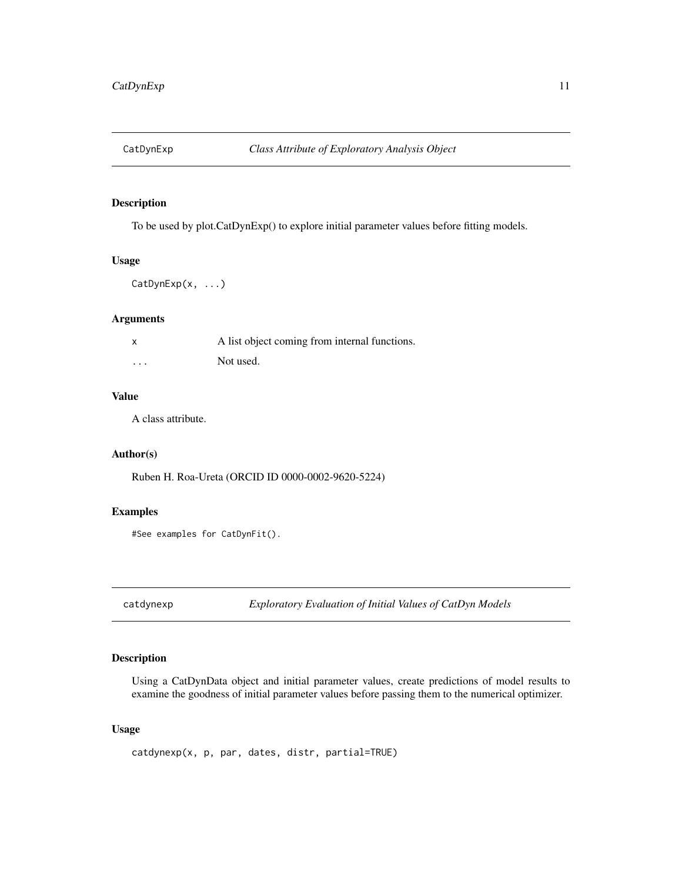<span id="page-10-0"></span>

# Description

To be used by plot.CatDynExp() to explore initial parameter values before fitting models.

## Usage

```
CatDynExp(x, ...)
```
# Arguments

|          | A list object coming from internal functions. |
|----------|-----------------------------------------------|
| $\cdots$ | Not used.                                     |

#### Value

A class attribute.

# Author(s)

Ruben H. Roa-Ureta (ORCID ID 0000-0002-9620-5224)

#### Examples

#See examples for CatDynFit().

catdynexp *Exploratory Evaluation of Initial Values of CatDyn Models*

# Description

Using a CatDynData object and initial parameter values, create predictions of model results to examine the goodness of initial parameter values before passing them to the numerical optimizer.

# Usage

```
catdynexp(x, p, par, dates, distr, partial=TRUE)
```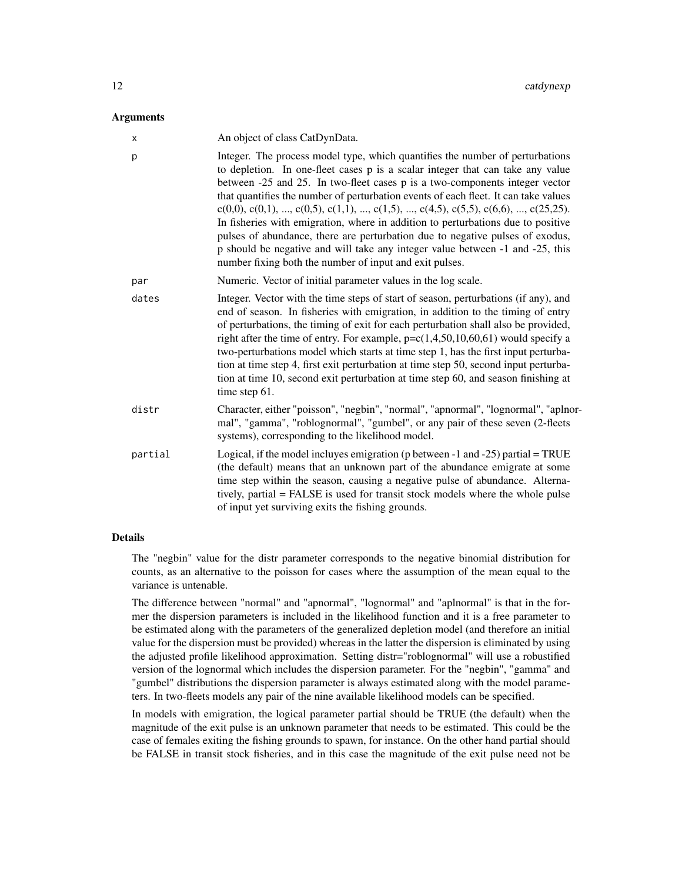#### **Arguments**

| X       | An object of class CatDynData.                                                                                                                                                                                                                                                                                                                                                                                                                                                                                                                                                                                                                                                                                                                |
|---------|-----------------------------------------------------------------------------------------------------------------------------------------------------------------------------------------------------------------------------------------------------------------------------------------------------------------------------------------------------------------------------------------------------------------------------------------------------------------------------------------------------------------------------------------------------------------------------------------------------------------------------------------------------------------------------------------------------------------------------------------------|
| p       | Integer. The process model type, which quantifies the number of perturbations<br>to depletion. In one-fleet cases p is a scalar integer that can take any value<br>between -25 and 25. In two-fleet cases p is a two-components integer vector<br>that quantifies the number of perturbation events of each fleet. It can take values<br>$c(0,0), c(0,1), , c(0,5), c(1,1), , c(1,5), , c(4,5), c(5,5), c(6,6), , c(25,25).$<br>In fisheries with emigration, where in addition to perturbations due to positive<br>pulses of abundance, there are perturbation due to negative pulses of exodus,<br>p should be negative and will take any integer value between -1 and -25, this<br>number fixing both the number of input and exit pulses. |
| par     | Numeric. Vector of initial parameter values in the log scale.                                                                                                                                                                                                                                                                                                                                                                                                                                                                                                                                                                                                                                                                                 |
| dates   | Integer. Vector with the time steps of start of season, perturbations (if any), and<br>end of season. In fisheries with emigration, in addition to the timing of entry<br>of perturbations, the timing of exit for each perturbation shall also be provided,<br>right after the time of entry. For example, $p = c(1, 4, 50, 10, 60, 61)$ would specify a<br>two-perturbations model which starts at time step 1, has the first input perturba-<br>tion at time step 4, first exit perturbation at time step 50, second input perturba-<br>tion at time 10, second exit perturbation at time step 60, and season finishing at<br>time step 61.                                                                                                |
| distr   | Character, either "poisson", "negbin", "normal", "apnormal", "lognormal", "aplnor-<br>mal", "gamma", "roblognormal", "gumbel", or any pair of these seven (2-fleets<br>systems), corresponding to the likelihood model.                                                                                                                                                                                                                                                                                                                                                                                                                                                                                                                       |
| partial | Logical, if the model incluyes emigration ( $p$ between -1 and -25) partial = TRUE<br>(the default) means that an unknown part of the abundance emigrate at some<br>time step within the season, causing a negative pulse of abundance. Alterna-<br>tively, partial = FALSE is used for transit stock models where the whole pulse<br>of input yet surviving exits the fishing grounds.                                                                                                                                                                                                                                                                                                                                                       |

#### Details

The "negbin" value for the distr parameter corresponds to the negative binomial distribution for counts, as an alternative to the poisson for cases where the assumption of the mean equal to the variance is untenable.

The difference between "normal" and "apnormal", "lognormal" and "aplnormal" is that in the former the dispersion parameters is included in the likelihood function and it is a free parameter to be estimated along with the parameters of the generalized depletion model (and therefore an initial value for the dispersion must be provided) whereas in the latter the dispersion is eliminated by using the adjusted profile likelihood approximation. Setting distr="roblognormal" will use a robustified version of the lognormal which includes the dispersion parameter. For the "negbin", "gamma" and "gumbel" distributions the dispersion parameter is always estimated along with the model parameters. In two-fleets models any pair of the nine available likelihood models can be specified.

In models with emigration, the logical parameter partial should be TRUE (the default) when the magnitude of the exit pulse is an unknown parameter that needs to be estimated. This could be the case of females exiting the fishing grounds to spawn, for instance. On the other hand partial should be FALSE in transit stock fisheries, and in this case the magnitude of the exit pulse need not be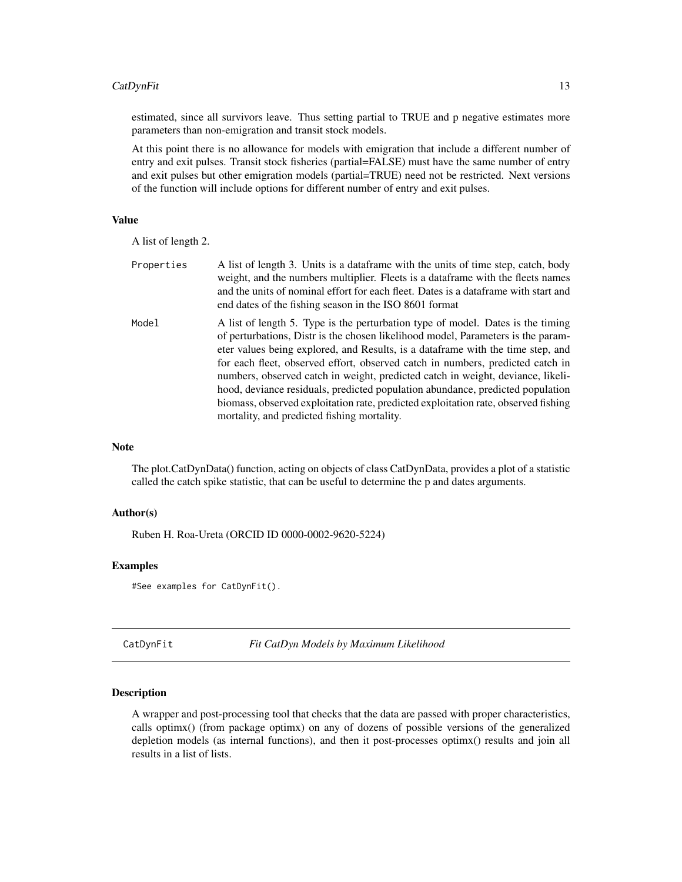# <span id="page-12-0"></span>CatDynFit 13

estimated, since all survivors leave. Thus setting partial to TRUE and p negative estimates more parameters than non-emigration and transit stock models.

At this point there is no allowance for models with emigration that include a different number of entry and exit pulses. Transit stock fisheries (partial=FALSE) must have the same number of entry and exit pulses but other emigration models (partial=TRUE) need not be restricted. Next versions of the function will include options for different number of entry and exit pulses.

# Value

A list of length 2.

| Properties | A list of length 3. Units is a data frame with the units of time step, catch, body<br>weight, and the numbers multiplier. Fleets is a dataframe with the fleets names<br>and the units of nominal effort for each fleet. Dates is a dataframe with start and<br>end dates of the fishing season in the ISO 8601 format                                                                                                                                                                                                                                                                                                                             |
|------------|----------------------------------------------------------------------------------------------------------------------------------------------------------------------------------------------------------------------------------------------------------------------------------------------------------------------------------------------------------------------------------------------------------------------------------------------------------------------------------------------------------------------------------------------------------------------------------------------------------------------------------------------------|
| Model      | A list of length 5. Type is the perturbation type of model. Dates is the timing<br>of perturbations, Distr is the chosen likelihood model, Parameters is the param-<br>eter values being explored, and Results, is a dataframe with the time step, and<br>for each fleet, observed effort, observed catch in numbers, predicted catch in<br>numbers, observed catch in weight, predicted catch in weight, deviance, likeli-<br>hood, deviance residuals, predicted population abundance, predicted population<br>biomass, observed exploitation rate, predicted exploitation rate, observed fishing<br>mortality, and predicted fishing mortality. |

# Note

The plot.CatDynData() function, acting on objects of class CatDynData, provides a plot of a statistic called the catch spike statistic, that can be useful to determine the p and dates arguments.

#### Author(s)

Ruben H. Roa-Ureta (ORCID ID 0000-0002-9620-5224)

#### Examples

#See examples for CatDynFit().

CatDynFit *Fit CatDyn Models by Maximum Likelihood*

#### Description

A wrapper and post-processing tool that checks that the data are passed with proper characteristics, calls optimx() (from package optimx) on any of dozens of possible versions of the generalized depletion models (as internal functions), and then it post-processes optimx() results and join all results in a list of lists.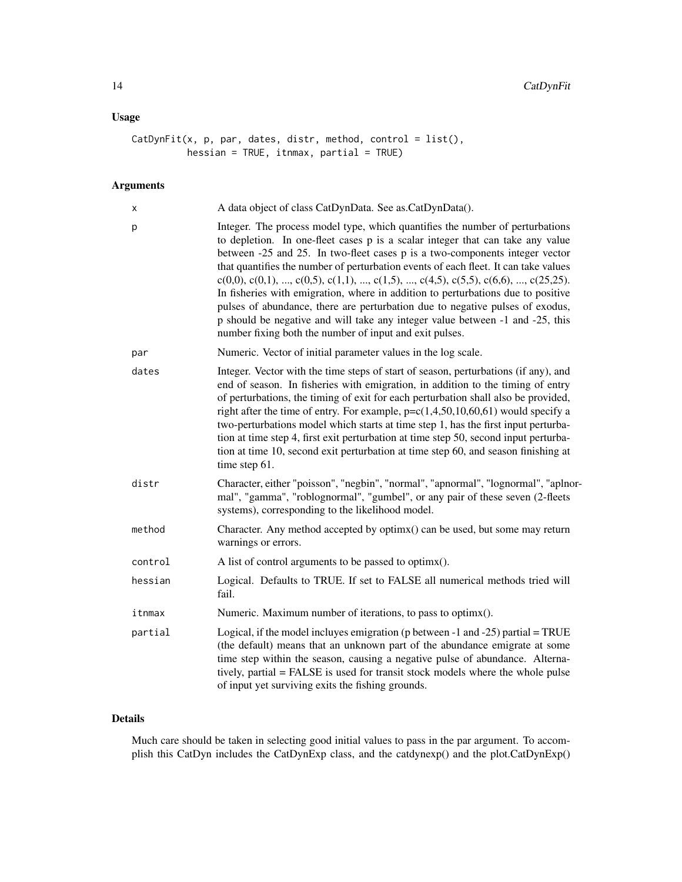# Usage

```
CatDynFit(x, p, par, dates, distr, method, control = list(),
         hessian = TRUE, itnmax, partial = TRUE)
```
# Arguments

| Χ       | A data object of class CatDynData. See as.CatDynData().                                                                                                                                                                                                                                                                                                                                                                                                                                                                                                                                                                                                                                                                                       |
|---------|-----------------------------------------------------------------------------------------------------------------------------------------------------------------------------------------------------------------------------------------------------------------------------------------------------------------------------------------------------------------------------------------------------------------------------------------------------------------------------------------------------------------------------------------------------------------------------------------------------------------------------------------------------------------------------------------------------------------------------------------------|
| р       | Integer. The process model type, which quantifies the number of perturbations<br>to depletion. In one-fleet cases p is a scalar integer that can take any value<br>between -25 and 25. In two-fleet cases p is a two-components integer vector<br>that quantifies the number of perturbation events of each fleet. It can take values<br>$c(0,0), c(0,1), , c(0,5), c(1,1), , c(1,5), , c(4,5), c(5,5), c(6,6), , c(25,25).$<br>In fisheries with emigration, where in addition to perturbations due to positive<br>pulses of abundance, there are perturbation due to negative pulses of exodus,<br>p should be negative and will take any integer value between -1 and -25, this<br>number fixing both the number of input and exit pulses. |
| par     | Numeric. Vector of initial parameter values in the log scale.                                                                                                                                                                                                                                                                                                                                                                                                                                                                                                                                                                                                                                                                                 |
| dates   | Integer. Vector with the time steps of start of season, perturbations (if any), and<br>end of season. In fisheries with emigration, in addition to the timing of entry<br>of perturbations, the timing of exit for each perturbation shall also be provided,<br>right after the time of entry. For example, $p = c(1, 4, 50, 10, 60, 61)$ would specify a<br>two-perturbations model which starts at time step 1, has the first input perturba-<br>tion at time step 4, first exit perturbation at time step 50, second input perturba-<br>tion at time 10, second exit perturbation at time step 60, and season finishing at<br>time step 61.                                                                                                |
| distr   | Character, either "poisson", "negbin", "normal", "apnormal", "lognormal", "aplnor-<br>mal", "gamma", "roblognormal", "gumbel", or any pair of these seven (2-fleets<br>systems), corresponding to the likelihood model.                                                                                                                                                                                                                                                                                                                                                                                                                                                                                                                       |
| method  | Character. Any method accepted by optimx() can be used, but some may return<br>warnings or errors.                                                                                                                                                                                                                                                                                                                                                                                                                                                                                                                                                                                                                                            |
| control | A list of control arguments to be passed to optimx().                                                                                                                                                                                                                                                                                                                                                                                                                                                                                                                                                                                                                                                                                         |
| hessian | Logical. Defaults to TRUE. If set to FALSE all numerical methods tried will<br>fail.                                                                                                                                                                                                                                                                                                                                                                                                                                                                                                                                                                                                                                                          |
| itnmax  | Numeric. Maximum number of iterations, to pass to optimx().                                                                                                                                                                                                                                                                                                                                                                                                                                                                                                                                                                                                                                                                                   |
| partial | Logical, if the model incluyes emigration ( $p$ between -1 and -25) partial = TRUE<br>(the default) means that an unknown part of the abundance emigrate at some<br>time step within the season, causing a negative pulse of abundance. Alterna-<br>tively, partial = FALSE is used for transit stock models where the whole pulse<br>of input yet surviving exits the fishing grounds.                                                                                                                                                                                                                                                                                                                                                       |

# Details

Much care should be taken in selecting good initial values to pass in the par argument. To accomplish this CatDyn includes the CatDynExp class, and the catdynexp() and the plot.CatDynExp()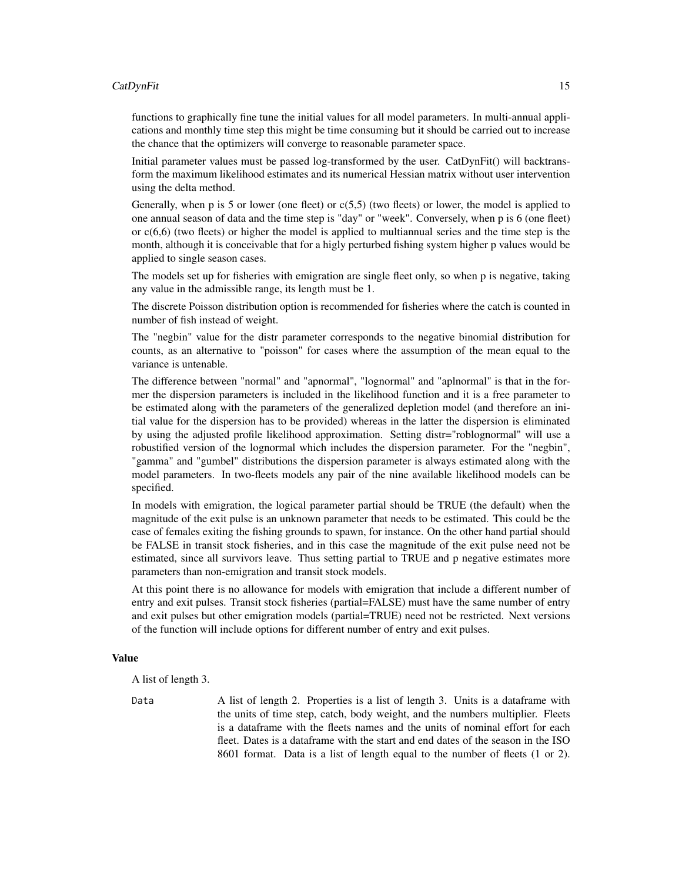#### CatDynFit 15

functions to graphically fine tune the initial values for all model parameters. In multi-annual applications and monthly time step this might be time consuming but it should be carried out to increase the chance that the optimizers will converge to reasonable parameter space.

Initial parameter values must be passed log-transformed by the user. CatDynFit() will backtransform the maximum likelihood estimates and its numerical Hessian matrix without user intervention using the delta method.

Generally, when p is 5 or lower (one fleet) or  $c(5,5)$  (two fleets) or lower, the model is applied to one annual season of data and the time step is "day" or "week". Conversely, when p is 6 (one fleet) or c(6,6) (two fleets) or higher the model is applied to multiannual series and the time step is the month, although it is conceivable that for a higly perturbed fishing system higher p values would be applied to single season cases.

The models set up for fisheries with emigration are single fleet only, so when p is negative, taking any value in the admissible range, its length must be 1.

The discrete Poisson distribution option is recommended for fisheries where the catch is counted in number of fish instead of weight.

The "negbin" value for the distr parameter corresponds to the negative binomial distribution for counts, as an alternative to "poisson" for cases where the assumption of the mean equal to the variance is untenable.

The difference between "normal" and "apnormal", "lognormal" and "aplnormal" is that in the former the dispersion parameters is included in the likelihood function and it is a free parameter to be estimated along with the parameters of the generalized depletion model (and therefore an initial value for the dispersion has to be provided) whereas in the latter the dispersion is eliminated by using the adjusted profile likelihood approximation. Setting distr="roblognormal" will use a robustified version of the lognormal which includes the dispersion parameter. For the "negbin", "gamma" and "gumbel" distributions the dispersion parameter is always estimated along with the model parameters. In two-fleets models any pair of the nine available likelihood models can be specified.

In models with emigration, the logical parameter partial should be TRUE (the default) when the magnitude of the exit pulse is an unknown parameter that needs to be estimated. This could be the case of females exiting the fishing grounds to spawn, for instance. On the other hand partial should be FALSE in transit stock fisheries, and in this case the magnitude of the exit pulse need not be estimated, since all survivors leave. Thus setting partial to TRUE and p negative estimates more parameters than non-emigration and transit stock models.

At this point there is no allowance for models with emigration that include a different number of entry and exit pulses. Transit stock fisheries (partial=FALSE) must have the same number of entry and exit pulses but other emigration models (partial=TRUE) need not be restricted. Next versions of the function will include options for different number of entry and exit pulses.

#### Value

A list of length 3.

Data A list of length 2. Properties is a list of length 3. Units is a dataframe with the units of time step, catch, body weight, and the numbers multiplier. Fleets is a dataframe with the fleets names and the units of nominal effort for each fleet. Dates is a dataframe with the start and end dates of the season in the ISO 8601 format. Data is a list of length equal to the number of fleets (1 or 2).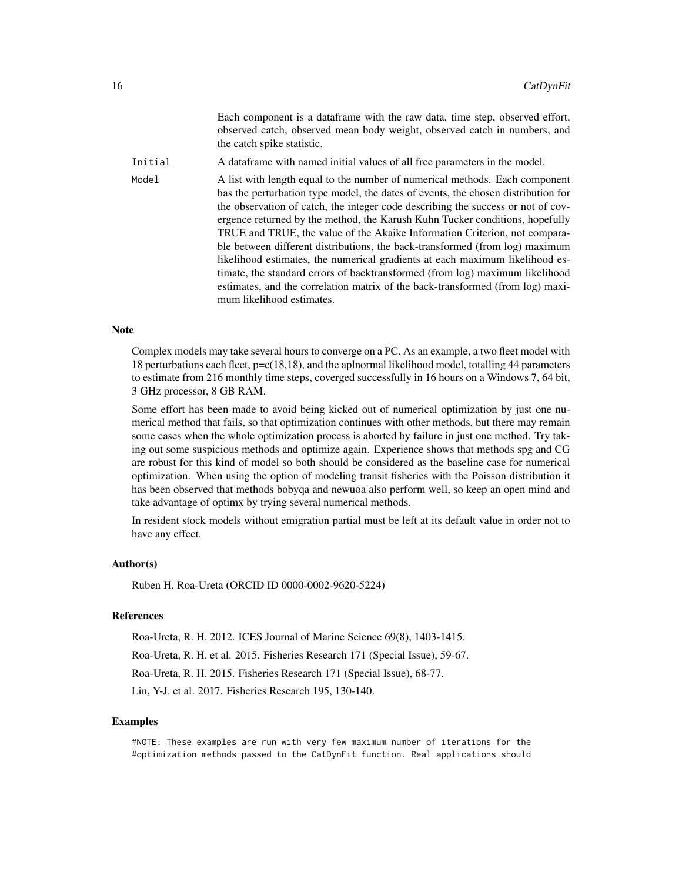|         | Each component is a dataframe with the raw data, time step, observed effort,<br>observed catch, observed mean body weight, observed catch in numbers, and<br>the catch spike statistic.                                                                                                                                                                                                                                                                                                                                                                                                                                                                                                                                                                                           |
|---------|-----------------------------------------------------------------------------------------------------------------------------------------------------------------------------------------------------------------------------------------------------------------------------------------------------------------------------------------------------------------------------------------------------------------------------------------------------------------------------------------------------------------------------------------------------------------------------------------------------------------------------------------------------------------------------------------------------------------------------------------------------------------------------------|
| Initial | A data frame with named initial values of all free parameters in the model.                                                                                                                                                                                                                                                                                                                                                                                                                                                                                                                                                                                                                                                                                                       |
| Model   | A list with length equal to the number of numerical methods. Each component<br>has the perturbation type model, the dates of events, the chosen distribution for<br>the observation of catch, the integer code describing the success or not of cov-<br>ergence returned by the method, the Karush Kuhn Tucker conditions, hopefully<br>TRUE and TRUE, the value of the Akaike Information Criterion, not compara-<br>ble between different distributions, the back-transformed (from log) maximum<br>likelihood estimates, the numerical gradients at each maximum likelihood es-<br>timate, the standard errors of backtransformed (from log) maximum likelihood<br>estimates, and the correlation matrix of the back-transformed (from log) maxi-<br>mum likelihood estimates. |

## **Note**

Complex models may take several hours to converge on a PC. As an example, a two fleet model with 18 perturbations each fleet,  $p = c(18,18)$ , and the aplnormal likelihood model, totalling 44 parameters to estimate from 216 monthly time steps, coverged successfully in 16 hours on a Windows 7, 64 bit, 3 GHz processor, 8 GB RAM.

Some effort has been made to avoid being kicked out of numerical optimization by just one numerical method that fails, so that optimization continues with other methods, but there may remain some cases when the whole optimization process is aborted by failure in just one method. Try taking out some suspicious methods and optimize again. Experience shows that methods spg and CG are robust for this kind of model so both should be considered as the baseline case for numerical optimization. When using the option of modeling transit fisheries with the Poisson distribution it has been observed that methods bobyqa and newuoa also perform well, so keep an open mind and take advantage of optimx by trying several numerical methods.

In resident stock models without emigration partial must be left at its default value in order not to have any effect.

#### Author(s)

Ruben H. Roa-Ureta (ORCID ID 0000-0002-9620-5224)

#### References

Roa-Ureta, R. H. 2012. ICES Journal of Marine Science 69(8), 1403-1415.

Roa-Ureta, R. H. et al. 2015. Fisheries Research 171 (Special Issue), 59-67.

Roa-Ureta, R. H. 2015. Fisheries Research 171 (Special Issue), 68-77.

Lin, Y-J. et al. 2017. Fisheries Research 195, 130-140.

## Examples

#NOTE: These examples are run with very few maximum number of iterations for the #optimization methods passed to the CatDynFit function. Real applications should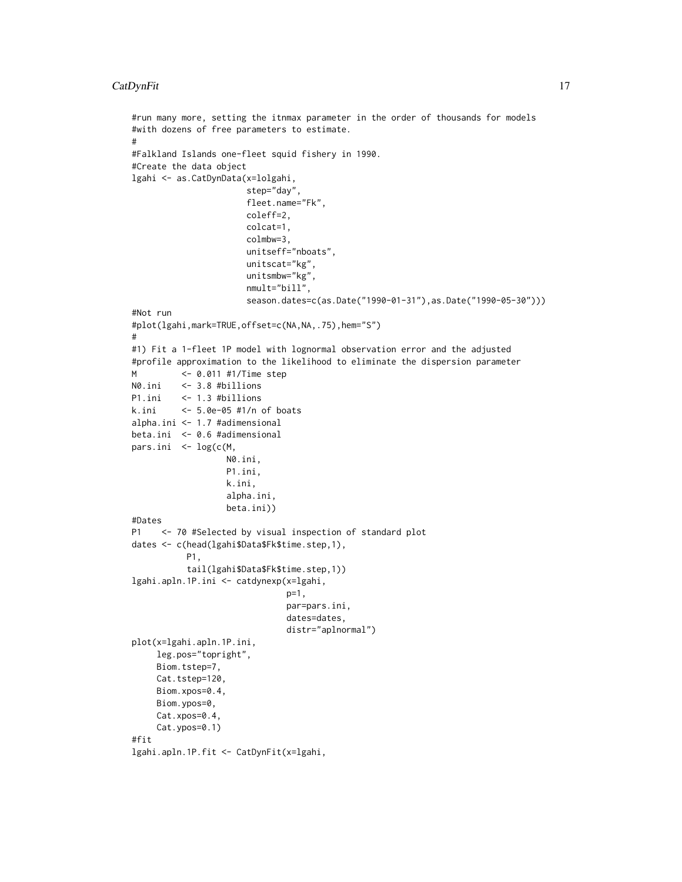```
#run many more, setting the itnmax parameter in the order of thousands for models
#with dozens of free parameters to estimate.
#
#Falkland Islands one-fleet squid fishery in 1990.
#Create the data object
lgahi <- as.CatDynData(x=lolgahi,
                       step="day",
                       fleet.name="Fk",
                       coleff=2,
                       colcat=1,
                       colmbw=3,
                       unitseff="nboats",
                       unitscat="kg",
                       unitsmbw="kg",
                       nmult="bill",
                       season.dates=c(as.Date("1990-01-31"),as.Date("1990-05-30")))
#Not run
#plot(lgahi,mark=TRUE,offset=c(NA,NA,.75),hem="S")
#
#1) Fit a 1-fleet 1P model with lognormal observation error and the adjusted
#profile approximation to the likelihood to eliminate the dispersion parameter
M <- 0.011 #1/Time step
N0.ini <- 3.8 #billions
P1.ini <- 1.3 #billions
k.ini <- 5.0e-05 #1/n of boats
alpha.ini <- 1.7 #adimensional
beta.ini <- 0.6 #adimensional
pars.ini <- log(c(M,
                   N0.ini,
                   P1.ini,
                   k.ini,
                   alpha.ini,
                   beta.ini))
#Dates
P1 <- 70 #Selected by visual inspection of standard plot
dates <- c(head(lgahi$Data$Fk$time.step,1),
           P1,
           tail(lgahi$Data$Fk$time.step,1))
lgahi.apln.1P.ini <- catdynexp(x=lgahi,
                               p=1,
                               par=pars.ini,
                               dates=dates,
                               distr="aplnormal")
plot(x=lgahi.apln.1P.ini,
     leg.pos="topright",
     Biom.tstep=7,
     Cat.tstep=120,
     Biom.xpos=0.4,
     Biom.ypos=0,
     Cat.xpos=0.4,
     Cat.ypos=0.1)
#fit
lgahi.apln.1P.fit <- CatDynFit(x=lgahi,
```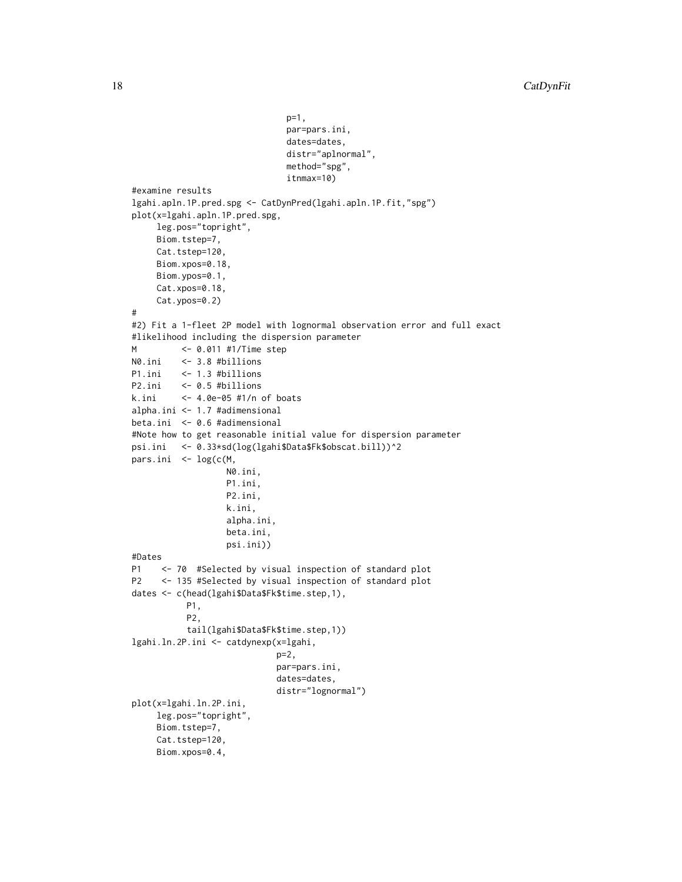```
p=1,
                               par=pars.ini,
                               dates=dates,
                               distr="aplnormal",
                               method="spg",
                               itnmax=10)
#examine results
lgahi.apln.1P.pred.spg <- CatDynPred(lgahi.apln.1P.fit,"spg")
plot(x=lgahi.apln.1P.pred.spg,
     leg.pos="topright",
     Biom.tstep=7,
     Cat.tstep=120,
     Biom.xpos=0.18,
     Biom.ypos=0.1,
     Cat.xpos=0.18,
     Cat.ypos=0.2)
#
#2) Fit a 1-fleet 2P model with lognormal observation error and full exact
#likelihood including the dispersion parameter
M <- 0.011 #1/Time step
N0.ini <- 3.8 #billions
P1.ini <- 1.3 #billions
P2.ini <- 0.5 #billions
k.ini <- 4.0e-05 #1/n of boats
alpha.ini <- 1.7 #adimensional
beta.ini <- 0.6 #adimensional
#Note how to get reasonable initial value for dispersion parameter
psi.ini <- 0.33*sd(log(lgahi$Data$Fk$obscat.bill))^2
pars.ini <- log(c(M,
                  N0.ini,
                   P1.ini,
                  P2.ini,
                   k.ini,
                   alpha.ini,
                   beta.ini,
                   psi.ini))
#Dates
P1 <- 70 #Selected by visual inspection of standard plot
P2 <- 135 #Selected by visual inspection of standard plot
dates <- c(head(lgahi$Data$Fk$time.step,1),
           P1,
           P2,
           tail(lgahi$Data$Fk$time.step,1))
lgahi.ln.2P.ini <- catdynexp(x=lgahi,
                            p=2,
                            par=pars.ini,
                            dates=dates,
                            distr="lognormal")
plot(x=lgahi.ln.2P.ini,
     leg.pos="topright",
     Biom.tstep=7,
     Cat.tstep=120,
     Biom.xpos=0.4,
```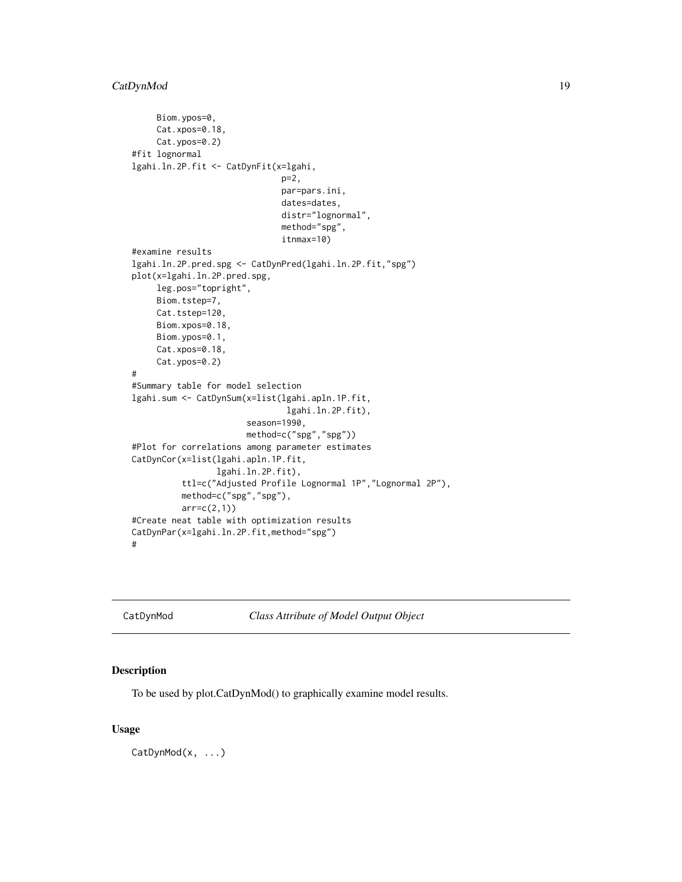```
Biom.ypos=0,
     Cat.xpos=0.18,
     Cat.ypos=0.2)
#fit lognormal
lgahi.ln.2P.fit <- CatDynFit(x=lgahi,
                              p=2,
                              par=pars.ini,
                              dates=dates,
                              distr="lognormal",
                              method="spg",
                              itnmax=10)
#examine results
lgahi.ln.2P.pred.spg <- CatDynPred(lgahi.ln.2P.fit,"spg")
plot(x=lgahi.ln.2P.pred.spg,
     leg.pos="topright",
     Biom.tstep=7,
     Cat.tstep=120,
     Biom.xpos=0.18,
    Biom.ypos=0.1,
     Cat.xpos=0.18,
     Cat.ypos=0.2)
#
#Summary table for model selection
lgahi.sum <- CatDynSum(x=list(lgahi.apln.1P.fit,
                               lgahi.ln.2P.fit),
                       season=1990,
                       method=c("spg","spg"))
#Plot for correlations among parameter estimates
CatDynCor(x=list(lgahi.apln.1P.fit,
                 lgahi.ln.2P.fit),
          ttl=c("Adjusted Profile Lognormal 1P","Lognormal 2P"),
          method=c("spg","spg"),
          arr=c(2,1))
#Create neat table with optimization results
CatDynPar(x=lgahi.ln.2P.fit,method="spg")
#
```
CatDynMod *Class Attribute of Model Output Object*

# Description

To be used by plot.CatDynMod() to graphically examine model results.

#### Usage

CatDynMod(x, ...)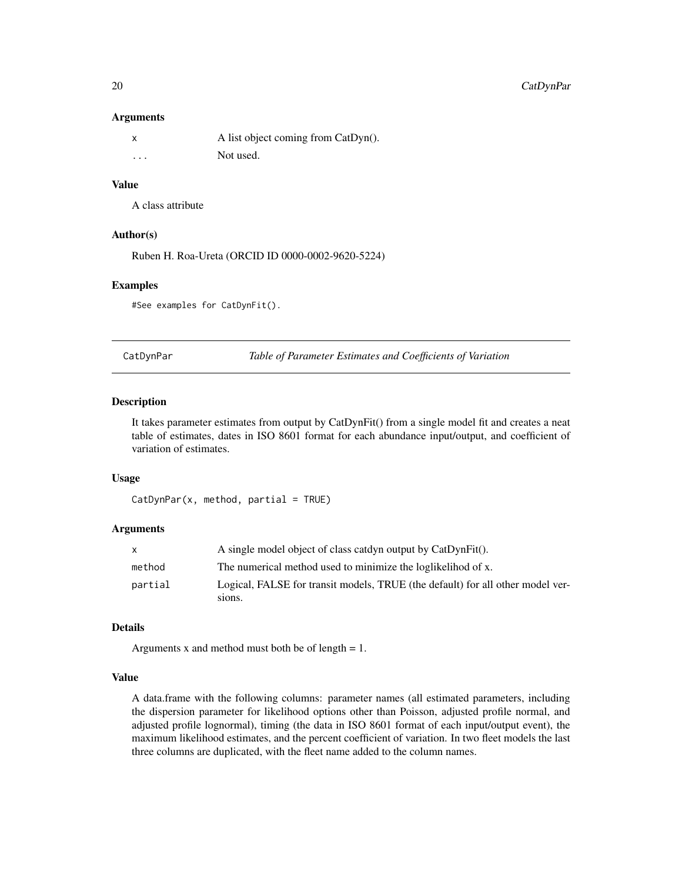# <span id="page-19-0"></span>20 CatDynPar

#### **Arguments**

|          | A list object coming from CatDyn(). |
|----------|-------------------------------------|
| $\cdots$ | Not used.                           |

# Value

A class attribute

#### Author(s)

Ruben H. Roa-Ureta (ORCID ID 0000-0002-9620-5224)

#### Examples

#See examples for CatDynFit().

CatDynPar *Table of Parameter Estimates and Coefficients of Variation*

# Description

It takes parameter estimates from output by CatDynFit() from a single model fit and creates a neat table of estimates, dates in ISO 8601 format for each abundance input/output, and coefficient of variation of estimates.

#### Usage

```
CatDynPar(x, method, partial = TRUE)
```
#### Arguments

|         | A single model object of class catdyn output by CatDynFit().                             |
|---------|------------------------------------------------------------------------------------------|
| method  | The numerical method used to minimize the loglikelihod of x.                             |
| partial | Logical, FALSE for transit models, TRUE (the default) for all other model ver-<br>sions. |
|         |                                                                                          |

# Details

Arguments x and method must both be of length  $= 1$ .

#### Value

A data.frame with the following columns: parameter names (all estimated parameters, including the dispersion parameter for likelihood options other than Poisson, adjusted profile normal, and adjusted profile lognormal), timing (the data in ISO 8601 format of each input/output event), the maximum likelihood estimates, and the percent coefficient of variation. In two fleet models the last three columns are duplicated, with the fleet name added to the column names.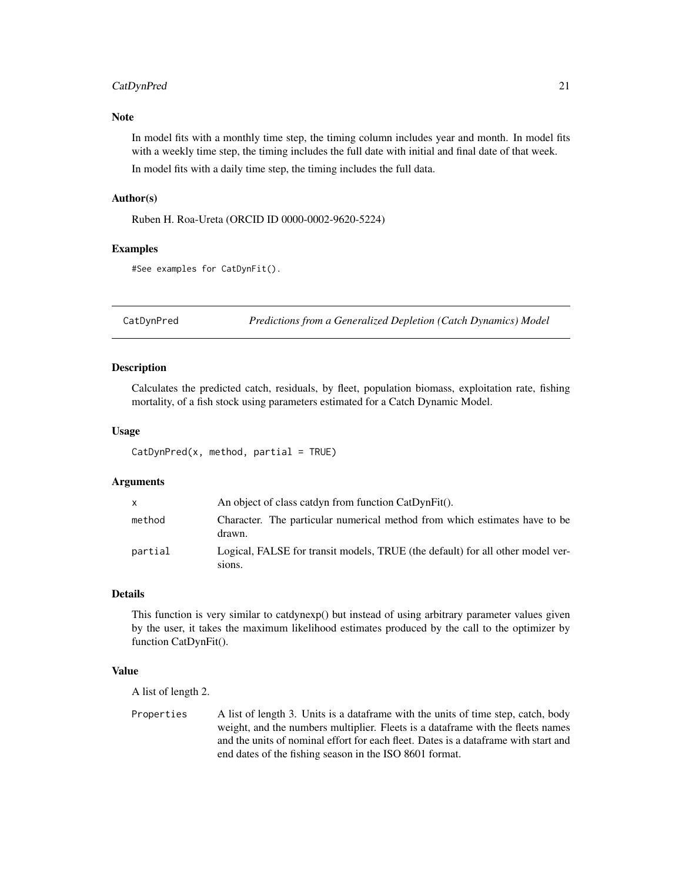# <span id="page-20-0"></span>CatDynPred 21

# Note

In model fits with a monthly time step, the timing column includes year and month. In model fits with a weekly time step, the timing includes the full date with initial and final date of that week. In model fits with a daily time step, the timing includes the full data.

#### Author(s)

Ruben H. Roa-Ureta (ORCID ID 0000-0002-9620-5224)

#### Examples

```
#See examples for CatDynFit().
```
CatDynPred *Predictions from a Generalized Depletion (Catch Dynamics) Model*

#### Description

Calculates the predicted catch, residuals, by fleet, population biomass, exploitation rate, fishing mortality, of a fish stock using parameters estimated for a Catch Dynamic Model.

#### Usage

 $CatDynPred(x, method, partial = TRUE)$ 

#### Arguments

| $\mathsf{x}$ | An object of class catdyn from function CatDynFit().                                     |
|--------------|------------------------------------------------------------------------------------------|
| method       | Character. The particular numerical method from which estimates have to be<br>drawn.     |
| partial      | Logical, FALSE for transit models, TRUE (the default) for all other model ver-<br>sions. |

# Details

This function is very similar to catdynexp() but instead of using arbitrary parameter values given by the user, it takes the maximum likelihood estimates produced by the call to the optimizer by function CatDynFit().

#### Value

A list of length 2.

Properties A list of length 3. Units is a dataframe with the units of time step, catch, body weight, and the numbers multiplier. Fleets is a dataframe with the fleets names and the units of nominal effort for each fleet. Dates is a dataframe with start and end dates of the fishing season in the ISO 8601 format.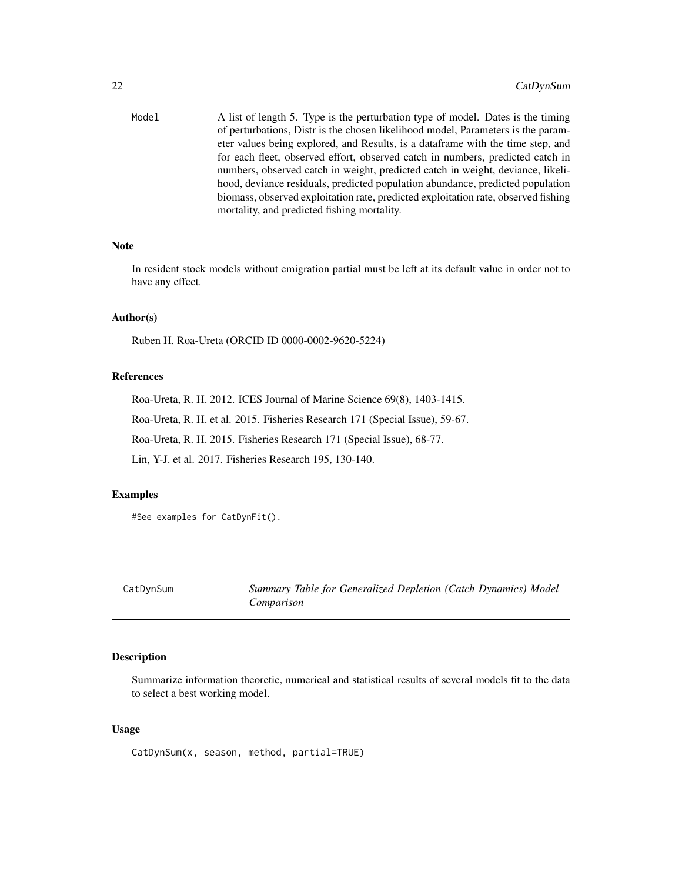<span id="page-21-0"></span>

| Model | A list of length 5. Type is the perturbation type of model. Dates is the timing    |
|-------|------------------------------------------------------------------------------------|
|       | of perturbations. Distr is the chosen likelihood model, Parameters is the param-   |
|       | eter values being explored, and Results, is a dataframe with the time step, and    |
|       | for each fleet, observed effort, observed catch in numbers, predicted catch in     |
|       | numbers, observed catch in weight, predicted catch in weight, deviance, likeli-    |
|       | hood, deviance residuals, predicted population abundance, predicted population     |
|       | biomass, observed exploitation rate, predicted exploitation rate, observed fishing |
|       | mortality, and predicted fishing mortality.                                        |

# Note

In resident stock models without emigration partial must be left at its default value in order not to have any effect.

# Author(s)

Ruben H. Roa-Ureta (ORCID ID 0000-0002-9620-5224)

#### References

Roa-Ureta, R. H. 2012. ICES Journal of Marine Science 69(8), 1403-1415.

Roa-Ureta, R. H. et al. 2015. Fisheries Research 171 (Special Issue), 59-67.

Roa-Ureta, R. H. 2015. Fisheries Research 171 (Special Issue), 68-77.

Lin, Y-J. et al. 2017. Fisheries Research 195, 130-140.

# Examples

#See examples for CatDynFit().

CatDynSum *Summary Table for Generalized Depletion (Catch Dynamics) Model Comparison*

# Description

Summarize information theoretic, numerical and statistical results of several models fit to the data to select a best working model.

# Usage

CatDynSum(x, season, method, partial=TRUE)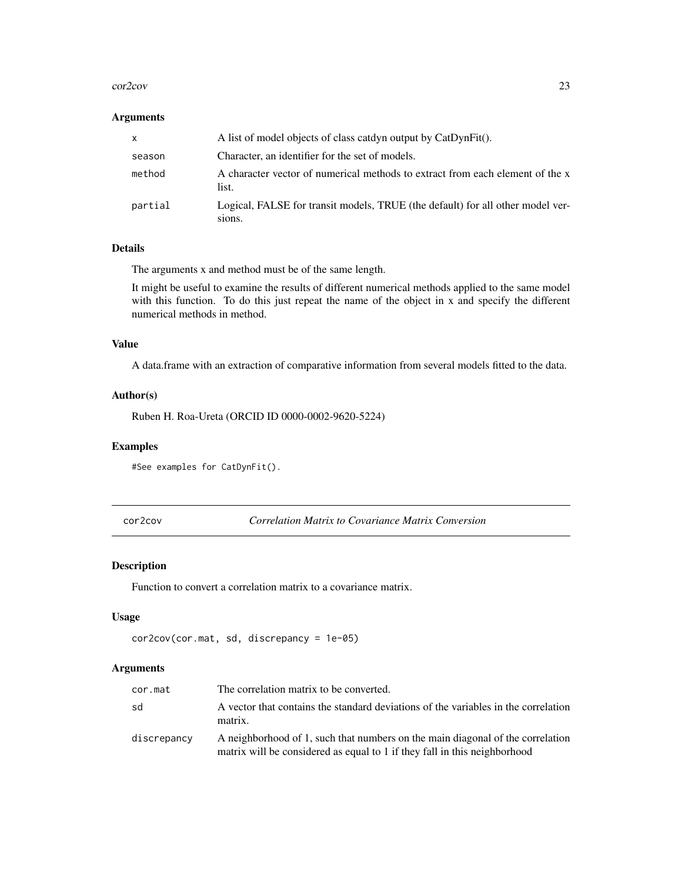#### <span id="page-22-0"></span>cor2cov 23

# Arguments

| <b>X</b> | A list of model objects of class catdyn output by CatDynFit().                           |
|----------|------------------------------------------------------------------------------------------|
| season   | Character, an identifier for the set of models.                                          |
| method   | A character vector of numerical methods to extract from each element of the x<br>list.   |
| partial  | Logical, FALSE for transit models, TRUE (the default) for all other model ver-<br>sions. |

# Details

The arguments x and method must be of the same length.

It might be useful to examine the results of different numerical methods applied to the same model with this function. To do this just repeat the name of the object in x and specify the different numerical methods in method.

# Value

A data.frame with an extraction of comparative information from several models fitted to the data.

#### Author(s)

Ruben H. Roa-Ureta (ORCID ID 0000-0002-9620-5224)

# Examples

#See examples for CatDynFit().

cor2cov *Correlation Matrix to Covariance Matrix Conversion*

# Description

Function to convert a correlation matrix to a covariance matrix.

#### Usage

```
cor2cov(cor.mat, sd, discrepancy = 1e-05)
```
# Arguments

| cor.mat     | The correlation matrix to be converted.                                                                                                                     |
|-------------|-------------------------------------------------------------------------------------------------------------------------------------------------------------|
| sd          | A vector that contains the standard deviations of the variables in the correlation<br>matrix.                                                               |
| discrepancy | A neighborhood of 1, such that numbers on the main diagonal of the correlation<br>matrix will be considered as equal to 1 if they fall in this neighborhood |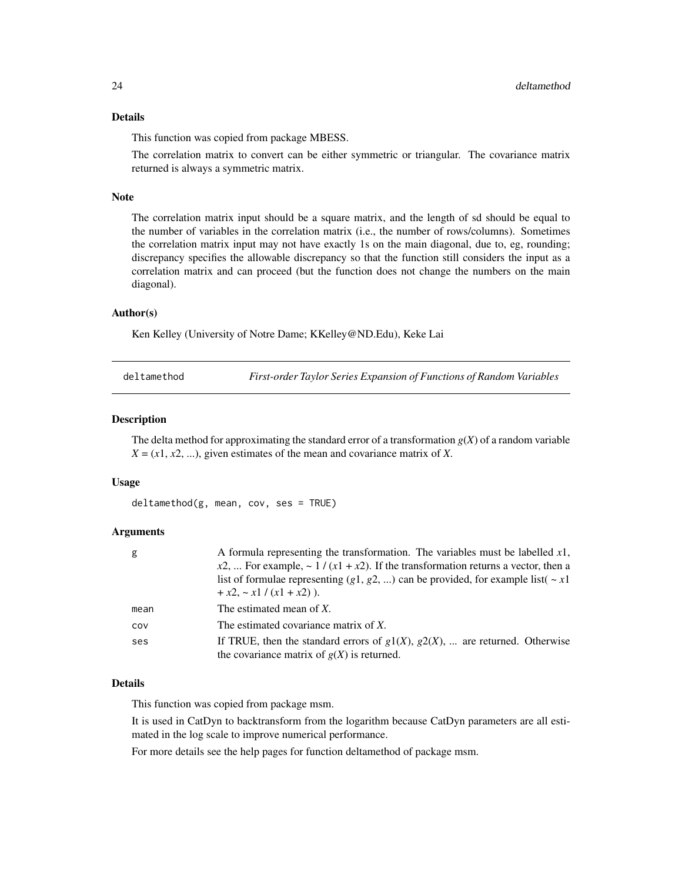# <span id="page-23-0"></span>Details

This function was copied from package MBESS.

The correlation matrix to convert can be either symmetric or triangular. The covariance matrix returned is always a symmetric matrix.

# Note

The correlation matrix input should be a square matrix, and the length of sd should be equal to the number of variables in the correlation matrix (i.e., the number of rows/columns). Sometimes the correlation matrix input may not have exactly 1s on the main diagonal, due to, eg, rounding; discrepancy specifies the allowable discrepancy so that the function still considers the input as a correlation matrix and can proceed (but the function does not change the numbers on the main diagonal).

# Author(s)

Ken Kelley (University of Notre Dame; KKelley@ND.Edu), Keke Lai

deltamethod *First-order Taylor Series Expansion of Functions of Random Variables*

#### **Description**

The delta method for approximating the standard error of a transformation  $g(X)$  of a random variable  $X = (x1, x2, \ldots)$ , given estimates of the mean and covariance matrix of *X*.

#### Usage

deltamethod(g, mean, cov, ses = TRUE)

# Arguments

| g    | A formula representing the transformation. The variables must be labelled $x1$ ,      |
|------|---------------------------------------------------------------------------------------|
|      | $x2, $ For example, ~ 1 / (x1 + x2). If the transformation returns a vector, then a   |
|      | list of formulae representing (g1, g2, ) can be provided, for example list( $\sim x1$ |
|      | $+x2, -x1/(x1 + x2)$ ).                                                               |
| mean | The estimated mean of X.                                                              |
| cov  | The estimated covariance matrix of X.                                                 |
| ses  | If TRUE, then the standard errors of $g1(X)$ , $g2(X)$ ,  are returned. Otherwise     |
|      | the covariance matrix of $g(X)$ is returned.                                          |

# Details

This function was copied from package msm.

It is used in CatDyn to backtransform from the logarithm because CatDyn parameters are all estimated in the log scale to improve numerical performance.

For more details see the help pages for function deltamethod of package msm.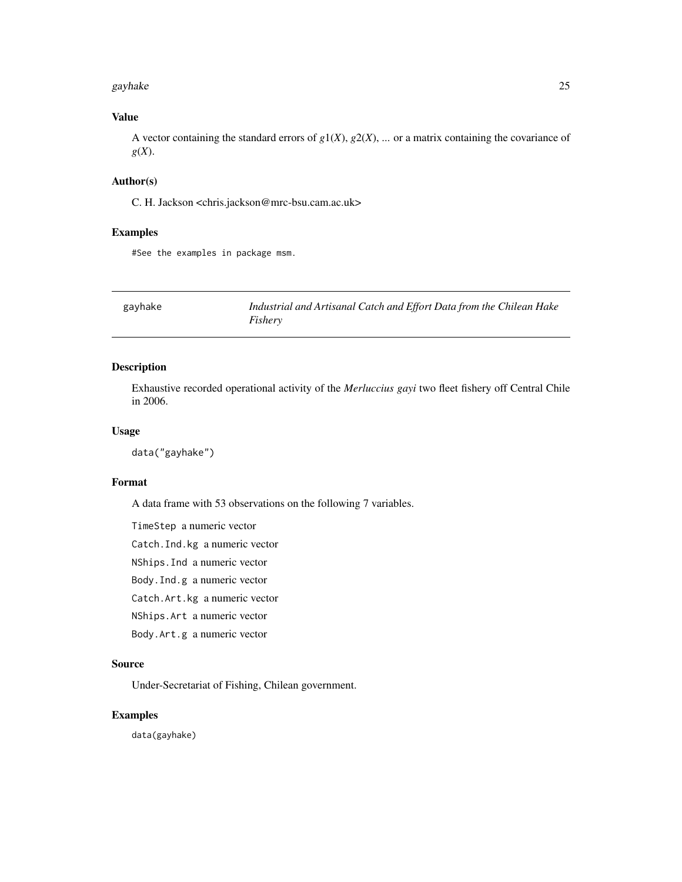#### <span id="page-24-0"></span>gayhake 25

# Value

A vector containing the standard errors of  $g1(X)$ ,  $g2(X)$ , ... or a matrix containing the covariance of *g*(*X*).

# Author(s)

C. H. Jackson <chris.jackson@mrc-bsu.cam.ac.uk>

# Examples

#See the examples in package msm.

gayhake *Industrial and Artisanal Catch and Effort Data from the Chilean Hake Fishery*

# Description

Exhaustive recorded operational activity of the *Merluccius gayi* two fleet fishery off Central Chile in 2006.

#### Usage

data("gayhake")

# Format

A data frame with 53 observations on the following 7 variables.

TimeStep a numeric vector

Catch.Ind.kg a numeric vector

NShips.Ind a numeric vector

Body.Ind.g a numeric vector

Catch.Art.kg a numeric vector

NShips.Art a numeric vector

Body.Art.g a numeric vector

#### Source

Under-Secretariat of Fishing, Chilean government.

# Examples

data(gayhake)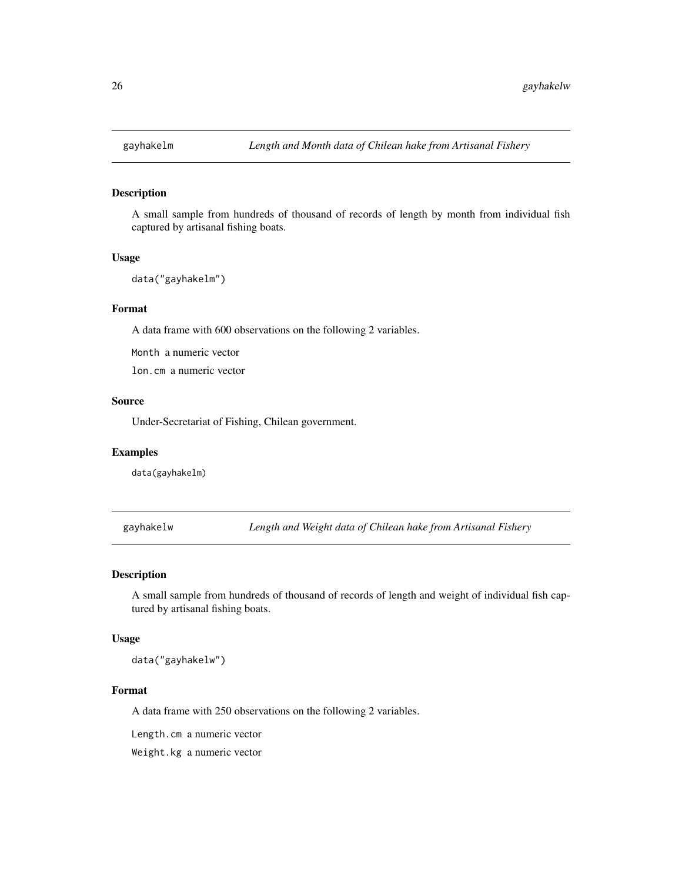<span id="page-25-0"></span>

#### Description

A small sample from hundreds of thousand of records of length by month from individual fish captured by artisanal fishing boats.

#### Usage

data("gayhakelm")

#### Format

A data frame with 600 observations on the following 2 variables.

Month a numeric vector

lon.cm a numeric vector

# Source

Under-Secretariat of Fishing, Chilean government.

# Examples

data(gayhakelm)

gayhakelw *Length and Weight data of Chilean hake from Artisanal Fishery*

# Description

A small sample from hundreds of thousand of records of length and weight of individual fish captured by artisanal fishing boats.

# Usage

data("gayhakelw")

#### Format

A data frame with 250 observations on the following 2 variables.

Length.cm a numeric vector

Weight.kg a numeric vector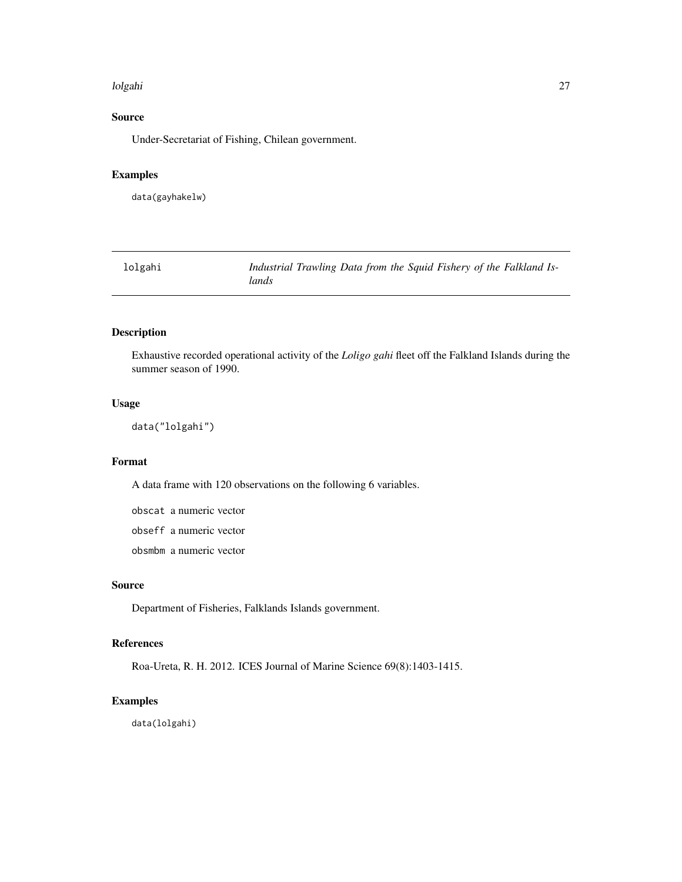#### <span id="page-26-0"></span>lolgahi 27

# Source

Under-Secretariat of Fishing, Chilean government.

# Examples

data(gayhakelw)

| lolgahi | Industrial Trawling Data from the Squid Fishery of the Falkland Is- |  |  |
|---------|---------------------------------------------------------------------|--|--|
|         | lands                                                               |  |  |

# Description

Exhaustive recorded operational activity of the *Loligo gahi* fleet off the Falkland Islands during the summer season of 1990.

# Usage

```
data("lolgahi")
```
# Format

A data frame with 120 observations on the following 6 variables.

obscat a numeric vector obseff a numeric vector

obsmbm a numeric vector

# Source

Department of Fisheries, Falklands Islands government.

# References

Roa-Ureta, R. H. 2012. ICES Journal of Marine Science 69(8):1403-1415.

# Examples

data(lolgahi)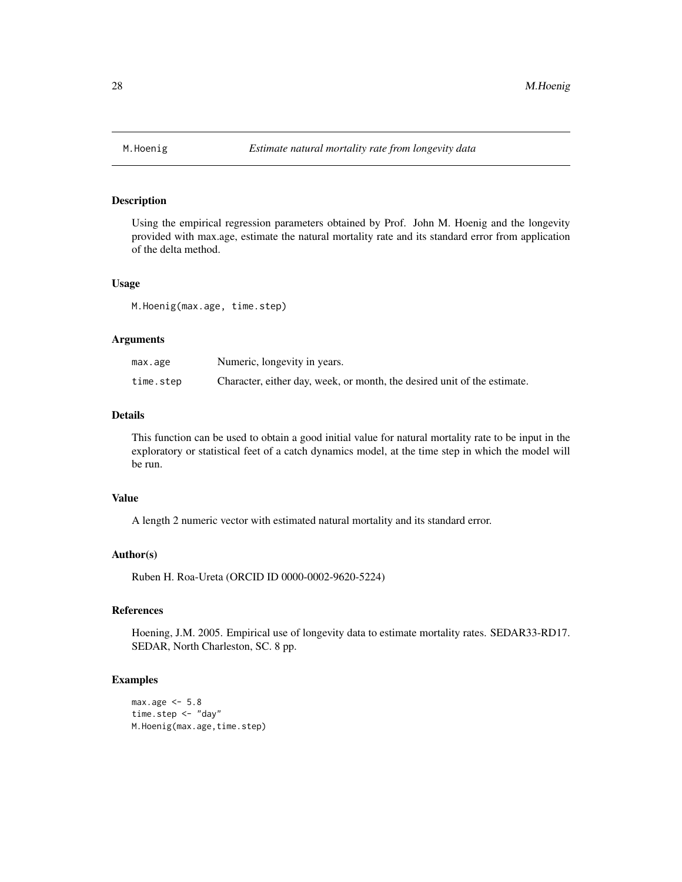<span id="page-27-0"></span>

# Description

Using the empirical regression parameters obtained by Prof. John M. Hoenig and the longevity provided with max.age, estimate the natural mortality rate and its standard error from application of the delta method.

#### Usage

M.Hoenig(max.age, time.step)

#### Arguments

| max.age   | Numeric, longevity in years.                                             |
|-----------|--------------------------------------------------------------------------|
| time.step | Character, either day, week, or month, the desired unit of the estimate. |

# Details

This function can be used to obtain a good initial value for natural mortality rate to be input in the exploratory or statistical feet of a catch dynamics model, at the time step in which the model will be run.

# Value

A length 2 numeric vector with estimated natural mortality and its standard error.

#### Author(s)

Ruben H. Roa-Ureta (ORCID ID 0000-0002-9620-5224)

#### References

Hoening, J.M. 2005. Empirical use of longevity data to estimate mortality rates. SEDAR33-RD17. SEDAR, North Charleston, SC. 8 pp.

# Examples

```
max.age < -5.8time.step <- "day"
M.Hoenig(max.age,time.step)
```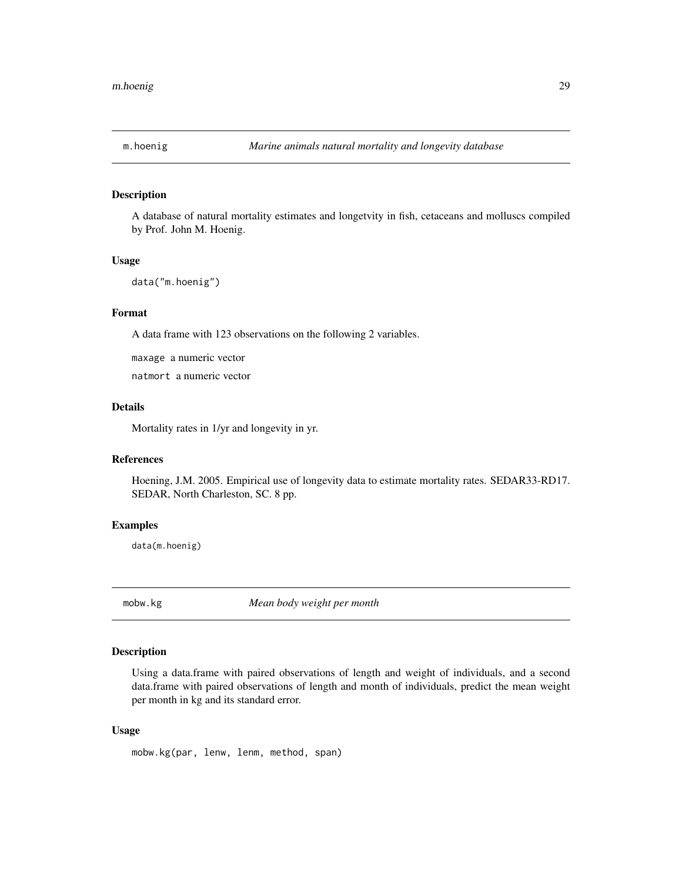<span id="page-28-0"></span>

# Description

A database of natural mortality estimates and longetvity in fish, cetaceans and molluscs compiled by Prof. John M. Hoenig.

#### Usage

```
data("m.hoenig")
```
# Format

A data frame with 123 observations on the following 2 variables.

maxage a numeric vector

natmort a numeric vector

# Details

Mortality rates in 1/yr and longevity in yr.

# References

Hoening, J.M. 2005. Empirical use of longevity data to estimate mortality rates. SEDAR33-RD17. SEDAR, North Charleston, SC. 8 pp.

#### Examples

data(m.hoenig)

mobw.kg *Mean body weight per month*

#### Description

Using a data.frame with paired observations of length and weight of individuals, and a second data.frame with paired observations of length and month of individuals, predict the mean weight per month in kg and its standard error.

#### Usage

mobw.kg(par, lenw, lenm, method, span)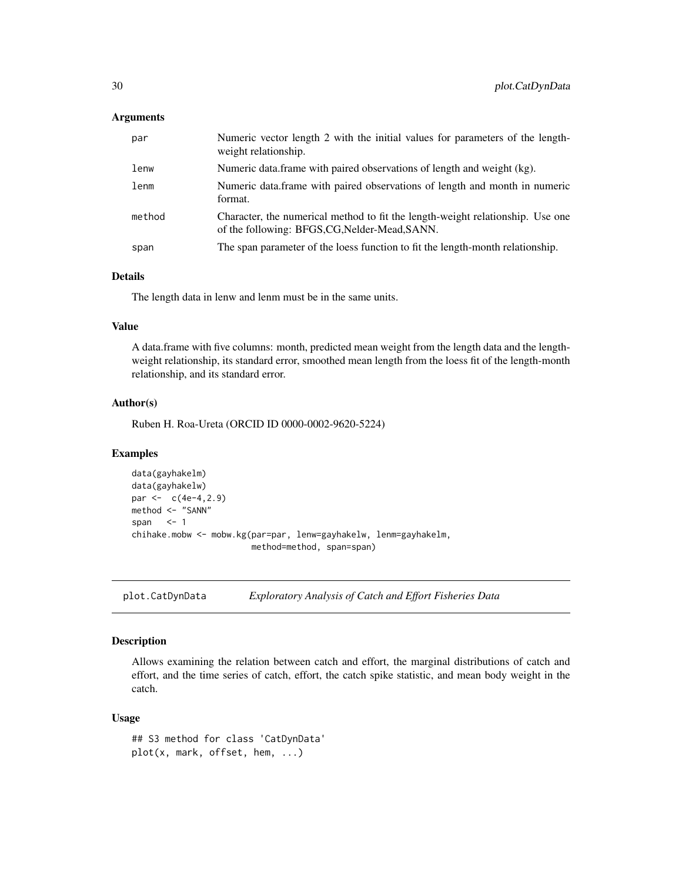## <span id="page-29-0"></span>**Arguments**

| par    | Numeric vector length 2 with the initial values for parameters of the length-<br>weight relationship.                            |
|--------|----------------------------------------------------------------------------------------------------------------------------------|
| lenw   | Numeric data frame with paired observations of length and weight (kg).                                                           |
| lenm   | Numeric data.frame with paired observations of length and month in numeric<br>format.                                            |
| method | Character, the numerical method to fit the length-weight relationship. Use one<br>of the following: BFGS, CG, Nelder-Mead, SANN. |
| span   | The span parameter of the loess function to fit the length-month relationship.                                                   |

# Details

The length data in lenw and lenm must be in the same units.

#### Value

A data.frame with five columns: month, predicted mean weight from the length data and the lengthweight relationship, its standard error, smoothed mean length from the loess fit of the length-month relationship, and its standard error.

# Author(s)

Ruben H. Roa-Ureta (ORCID ID 0000-0002-9620-5224)

# Examples

```
data(gayhakelm)
data(gayhakelw)
par <-c(4e-4,2.9)method <- "SANN"
span <-1chihake.mobw <- mobw.kg(par=par, lenw=gayhakelw, lenm=gayhakelm,
                       method=method, span=span)
```
plot.CatDynData *Exploratory Analysis of Catch and Effort Fisheries Data*

# Description

Allows examining the relation between catch and effort, the marginal distributions of catch and effort, and the time series of catch, effort, the catch spike statistic, and mean body weight in the catch.

#### Usage

```
## S3 method for class 'CatDynData'
plot(x, mark, offset, hem, ...)
```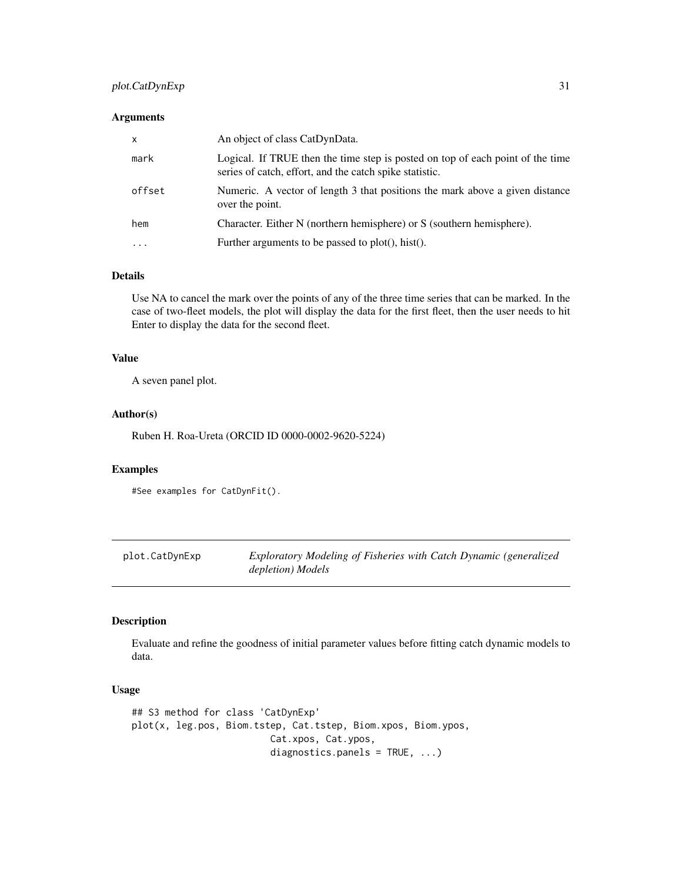# <span id="page-30-0"></span>plot.CatDynExp 31

# Arguments

| $\mathsf{x}$            | An object of class CatDynData.                                                                                                            |
|-------------------------|-------------------------------------------------------------------------------------------------------------------------------------------|
| mark                    | Logical. If TRUE then the time step is posted on top of each point of the time<br>series of catch, effort, and the catch spike statistic. |
| offset                  | Numeric. A vector of length 3 that positions the mark above a given distance<br>over the point.                                           |
| hem                     | Character. Either N (northern hemisphere) or S (southern hemisphere).                                                                     |
| $\cdot$ $\cdot$ $\cdot$ | Further arguments to be passed to plot(), hist().                                                                                         |

# Details

Use NA to cancel the mark over the points of any of the three time series that can be marked. In the case of two-fleet models, the plot will display the data for the first fleet, then the user needs to hit Enter to display the data for the second fleet.

# Value

A seven panel plot.

#### Author(s)

Ruben H. Roa-Ureta (ORCID ID 0000-0002-9620-5224)

#### Examples

```
#See examples for CatDynFit().
```

| plot.CatDynExp | Exploratory Modeling of Fisheries with Catch Dynamic (generalized |
|----------------|-------------------------------------------------------------------|
|                | depletion) Models                                                 |

# Description

Evaluate and refine the goodness of initial parameter values before fitting catch dynamic models to data.

#### Usage

```
## S3 method for class 'CatDynExp'
plot(x, leg.pos, Biom.tstep, Cat.tstep, Biom.xpos, Biom.ypos,
                         Cat.xpos, Cat.ypos,
                         diagnostics.panels = TRUE, ...)
```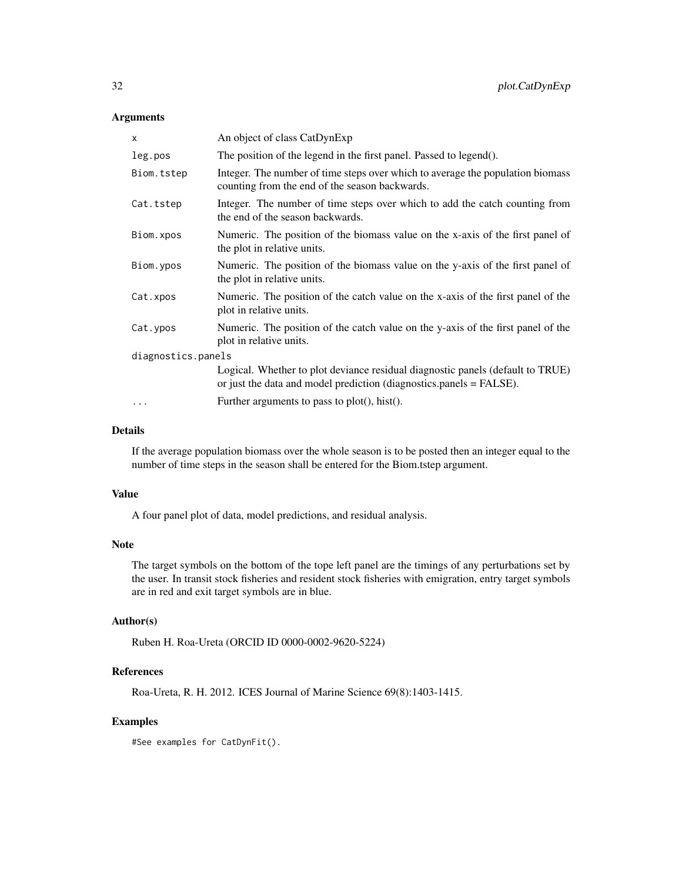# Arguments

| An object of class CatDynExp                                                                                                                          |
|-------------------------------------------------------------------------------------------------------------------------------------------------------|
| The position of the legend in the first panel. Passed to legend().                                                                                    |
| Integer. The number of time steps over which to average the population biomass<br>counting from the end of the season backwards.                      |
| Integer. The number of time steps over which to add the catch counting from<br>the end of the season backwards.                                       |
| Numeric. The position of the biomass value on the x-axis of the first panel of<br>the plot in relative units.                                         |
| Numeric. The position of the biomass value on the y-axis of the first panel of<br>the plot in relative units.                                         |
| Numeric. The position of the catch value on the x-axis of the first panel of the<br>plot in relative units.                                           |
| Numeric. The position of the catch value on the y-axis of the first panel of the<br>plot in relative units.                                           |
| diagnostics.panels                                                                                                                                    |
| Logical. Whether to plot deviance residual diagnostic panels (default to TRUE)<br>or just the data and model prediction (diagnostics.panels = FALSE). |
| Further arguments to pass to $plot(), hist().$                                                                                                        |
|                                                                                                                                                       |

# Details

If the average population biomass over the whole season is to be posted then an integer equal to the number of time steps in the season shall be entered for the Biom.tstep argument.

#### Value

A four panel plot of data, model predictions, and residual analysis.

## Note

The target symbols on the bottom of the tope left panel are the timings of any perturbations set by the user. In transit stock fisheries and resident stock fisheries with emigration, entry target symbols are in red and exit target symbols are in blue.

# Author(s)

Ruben H. Roa-Ureta (ORCID ID 0000-0002-9620-5224)

# References

Roa-Ureta, R. H. 2012. ICES Journal of Marine Science 69(8):1403-1415.

# Examples

#See examples for CatDynFit().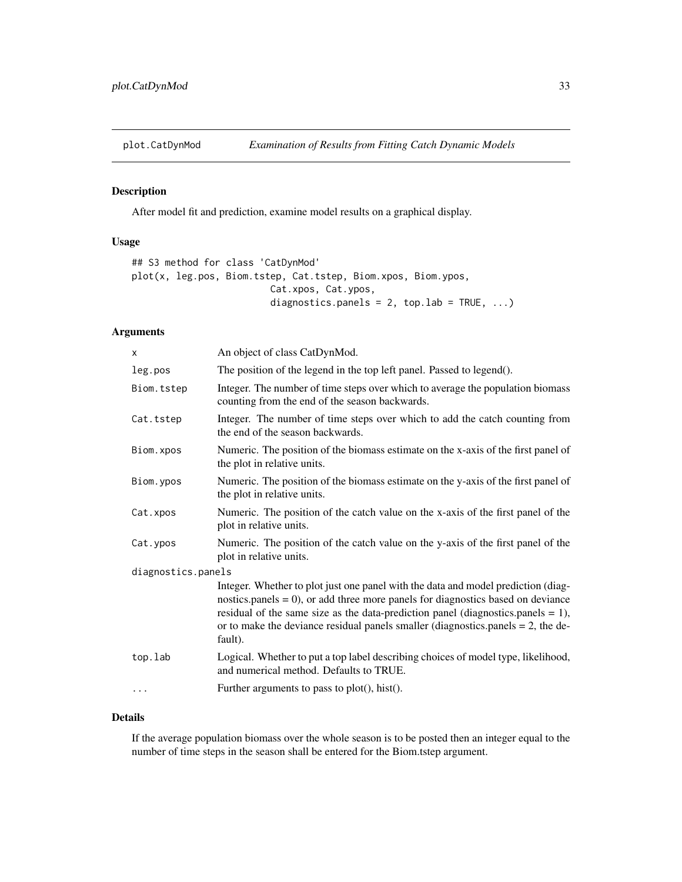<span id="page-32-0"></span>

# Description

After model fit and prediction, examine model results on a graphical display.

# Usage

```
## S3 method for class 'CatDynMod'
plot(x, leg.pos, Biom.tstep, Cat.tstep, Biom.xpos, Biom.ypos,
                         Cat.xpos, Cat.ypos,
                          diagnostics.panels = 2, top.lab = TRUE, \ldots)
```
# Arguments

| $\times$           | An object of class CatDynMod.                                                                                                                                                                                                                                                                                                                                 |
|--------------------|---------------------------------------------------------------------------------------------------------------------------------------------------------------------------------------------------------------------------------------------------------------------------------------------------------------------------------------------------------------|
| leg.pos            | The position of the legend in the top left panel. Passed to legend().                                                                                                                                                                                                                                                                                         |
| Biom.tstep         | Integer. The number of time steps over which to average the population biomass<br>counting from the end of the season backwards.                                                                                                                                                                                                                              |
| Cat.tstep          | Integer. The number of time steps over which to add the catch counting from<br>the end of the season backwards.                                                                                                                                                                                                                                               |
| Biom.xpos          | Numeric. The position of the biomass estimate on the x-axis of the first panel of<br>the plot in relative units.                                                                                                                                                                                                                                              |
| Biom.ypos          | Numeric. The position of the biomass estimate on the y-axis of the first panel of<br>the plot in relative units.                                                                                                                                                                                                                                              |
| Cat.xpos           | Numeric. The position of the catch value on the x-axis of the first panel of the<br>plot in relative units.                                                                                                                                                                                                                                                   |
| Cat.ypos           | Numeric. The position of the catch value on the y-axis of the first panel of the<br>plot in relative units.                                                                                                                                                                                                                                                   |
| diagnostics.panels |                                                                                                                                                                                                                                                                                                                                                               |
|                    | Integer. Whether to plot just one panel with the data and model prediction (diag-<br>nostics.panels $= 0$ ), or add three more panels for diagnostics based on deviance<br>residual of the same size as the data-prediction panel (diagnostics.panels = 1),<br>or to make the deviance residual panels smaller (diagnostics panels $= 2$ , the de-<br>fault). |
| top.lab            | Logical. Whether to put a top label describing choices of model type, likelihood,<br>and numerical method. Defaults to TRUE.                                                                                                                                                                                                                                  |
| .                  | Further arguments to pass to $plot(), hist().$                                                                                                                                                                                                                                                                                                                |
|                    |                                                                                                                                                                                                                                                                                                                                                               |

# Details

If the average population biomass over the whole season is to be posted then an integer equal to the number of time steps in the season shall be entered for the Biom.tstep argument.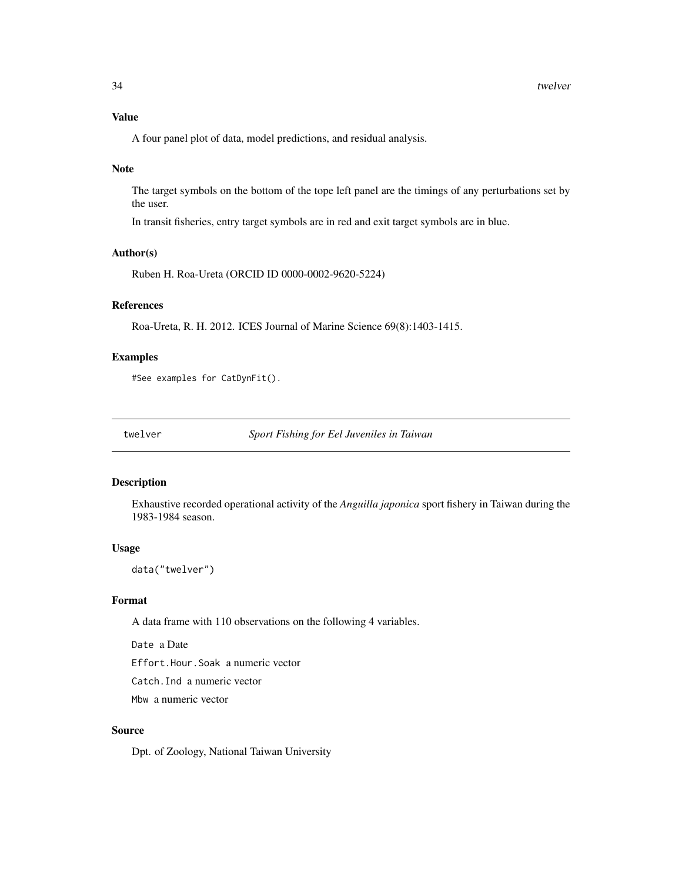# <span id="page-33-0"></span>Value

A four panel plot of data, model predictions, and residual analysis.

#### Note

The target symbols on the bottom of the tope left panel are the timings of any perturbations set by the user.

In transit fisheries, entry target symbols are in red and exit target symbols are in blue.

#### Author(s)

Ruben H. Roa-Ureta (ORCID ID 0000-0002-9620-5224)

# References

Roa-Ureta, R. H. 2012. ICES Journal of Marine Science 69(8):1403-1415.

## Examples

#See examples for CatDynFit().

twelver *Sport Fishing for Eel Juveniles in Taiwan*

# Description

Exhaustive recorded operational activity of the *Anguilla japonica* sport fishery in Taiwan during the 1983-1984 season.

#### Usage

data("twelver")

# Format

A data frame with 110 observations on the following 4 variables.

Date a Date

Effort.Hour.Soak a numeric vector

Catch.Ind a numeric vector

Mbw a numeric vector

# Source

Dpt. of Zoology, National Taiwan University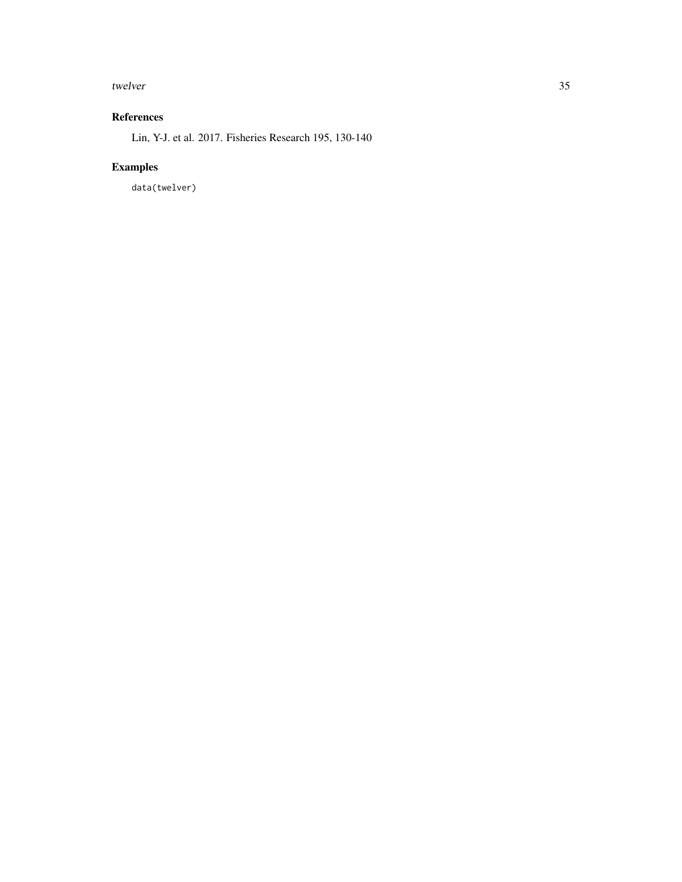#### twelver 35

# References

Lin, Y-J. et al. 2017. Fisheries Research 195, 130-140

# Examples

data(twelver)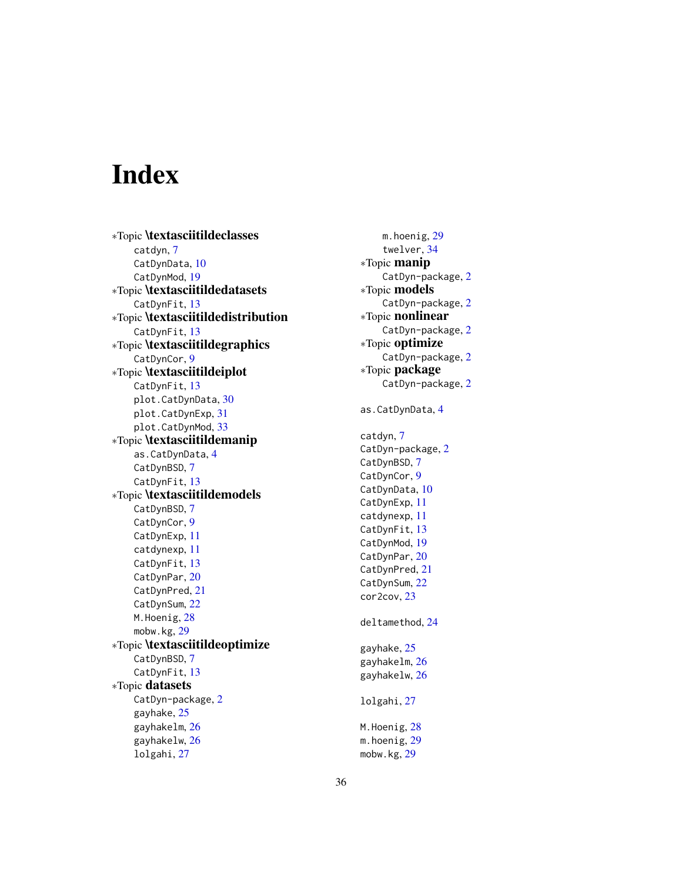# <span id="page-35-0"></span>Index

∗Topic \textasciitildeclasses catdyn, [7](#page-6-0) CatDynData, [10](#page-9-0) CatDynMod, [19](#page-18-0) ∗Topic \textasciitildedatasets CatDynFit, [13](#page-12-0) ∗Topic \textasciitildedistribution CatDynFit, [13](#page-12-0) ∗Topic \textasciitildegraphics CatDynCor, [9](#page-8-0) ∗Topic \textasciitildeiplot CatDynFit, [13](#page-12-0) plot.CatDynData, [30](#page-29-0) plot.CatDynExp, [31](#page-30-0) plot.CatDynMod, [33](#page-32-0) ∗Topic \textasciitildemanip as.CatDynData, [4](#page-3-0) CatDynBSD, [7](#page-6-0) CatDynFit, [13](#page-12-0) ∗Topic \textasciitildemodels CatDynBSD, [7](#page-6-0) CatDynCor, [9](#page-8-0) CatDynExp, [11](#page-10-0) catdynexp, [11](#page-10-0) CatDynFit, [13](#page-12-0) CatDynPar, [20](#page-19-0) CatDynPred, [21](#page-20-0) CatDynSum, [22](#page-21-0) M.Hoenig, [28](#page-27-0) mobw.kg, [29](#page-28-0) ∗Topic \textasciitildeoptimize CatDynBSD, [7](#page-6-0) CatDynFit, [13](#page-12-0) ∗Topic datasets CatDyn-package, [2](#page-1-0) gayhake, [25](#page-24-0) gayhakelm, [26](#page-25-0) gayhakelw, [26](#page-25-0) lolgahi, [27](#page-26-0)

m.hoenig, [29](#page-28-0) twelver, [34](#page-33-0) ∗Topic manip CatDyn-package, [2](#page-1-0) ∗Topic models CatDyn-package, [2](#page-1-0) ∗Topic nonlinear CatDyn-package, [2](#page-1-0) ∗Topic optimize CatDyn-package, [2](#page-1-0) ∗Topic package CatDyn-package, [2](#page-1-0) as.CatDynData, [4](#page-3-0) catdyn, [7](#page-6-0) CatDyn-package, [2](#page-1-0) CatDynBSD, [7](#page-6-0) CatDynCor, [9](#page-8-0) CatDynData, [10](#page-9-0) CatDynExp, [11](#page-10-0) catdynexp, [11](#page-10-0) CatDynFit, [13](#page-12-0) CatDynMod, [19](#page-18-0) CatDynPar, [20](#page-19-0) CatDynPred, [21](#page-20-0) CatDynSum, [22](#page-21-0) cor2cov, [23](#page-22-0) deltamethod, [24](#page-23-0) gayhake, [25](#page-24-0) gayhakelm, [26](#page-25-0) gayhakelw, [26](#page-25-0) lolgahi, [27](#page-26-0) M.Hoenig, [28](#page-27-0) m.hoenig, [29](#page-28-0) mobw.kg, [29](#page-28-0)